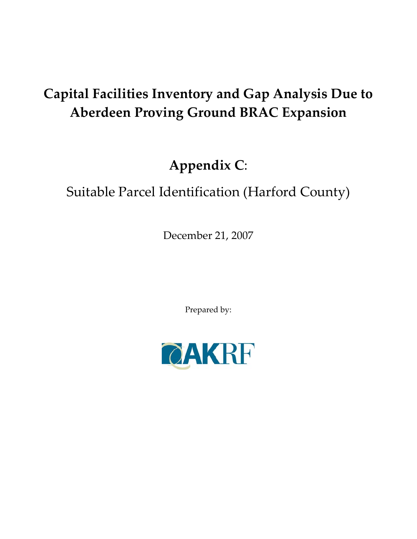## **Capital Facilities Inventory and Gap Analysis Due to Aberdeen Proving Ground BRAC Expansion**

# **Appendix C**:

## Suitable Parcel Identification (Harford County)

December 21, 2007

Prepared by:

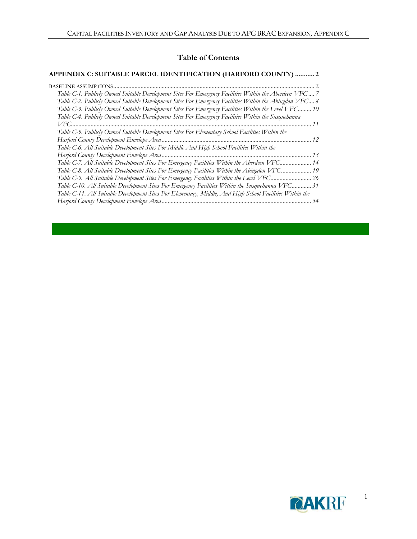#### **Table of Contents**

#### **APPENDIX C: SUITABLE PARCEL IDENTIFICATION (HARFORD COUNTY) ........... 2**

| Table C-1. Publicly Owned Suitable Development Sites For Emergency Facilities Within the Aberdeen VFC 7  |    |
|----------------------------------------------------------------------------------------------------------|----|
| Table C-2. Publicly Owned Suitable Development Sites For Emergency Facilities Within the Abingdon VFC 8  |    |
| Table C-3. Publicly Owned Suitable Development Sites For Emergency Facilities Within the Level VFC 10    |    |
| Table C-4. Publicly Owned Suitable Development Sites For Emergency Facilities Within the Susquehanna     |    |
|                                                                                                          |    |
| Table C-5. Publicly Owned Suitable Development Sites For Elementary School Facilities Within the         |    |
|                                                                                                          | 12 |
| Table C-6. All Suitable Development Sites For Middle And High School Facilities Within the               |    |
|                                                                                                          | 13 |
| Table C-7. All Suitable Development Sites For Emergency Facilities Within the Aberdeen VFC 14            |    |
| Table C-8. All Suitable Development Sites For Emergency Facilities Within the Abingdon VFC 19            |    |
| Table C-9. All Suitable Development Sites For Emergency Facilities Within the Level VFC 26               |    |
| Table C-10. All Suitable Development Sites For Emergency Facilities Within the Susquehanna VFC 31        |    |
| Table C-11. All Suitable Development Sites For Elementary, Middle, And High School Facilities Within the |    |
|                                                                                                          | 34 |

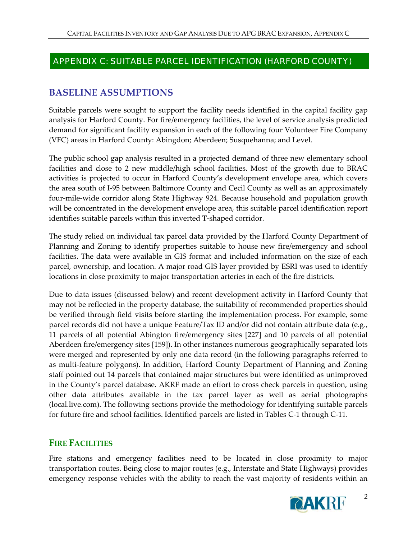## APPENDIX C: SUITABLE PARCEL IDENTIFICATION (HARFORD COUNTY)

## **BASELINE ASSUMPTIONS**

Suitable parcels were sought to support the facility needs identified in the capital facility gap analysis for Harford County. For fire/emergency facilities, the level of service analysis predicted demand for significant facility expansion in each of the following four Volunteer Fire Company (VFC) areas in Harford County: Abingdon; Aberdeen; Susquehanna; and Level.

The public school gap analysis resulted in a projected demand of three new elementary school facilities and close to 2 new middle/high school facilities. Most of the growth due to BRAC activities is projected to occur in Harford County's development envelope area, which covers the area south of I‐95 between Baltimore County and Cecil County as well as an approximately four-mile-wide corridor along State Highway 924. Because household and population growth will be concentrated in the development envelope area, this suitable parcel identification report identifies suitable parcels within this inverted T‐shaped corridor.

The study relied on individual tax parcel data provided by the Harford County Department of Planning and Zoning to identify properties suitable to house new fire/emergency and school facilities. The data were available in GIS format and included information on the size of each parcel, ownership, and location. A major road GIS layer provided by ESRI was used to identify locations in close proximity to major transportation arteries in each of the fire districts.

Due to data issues (discussed below) and recent development activity in Harford County that may not be reflected in the property database, the suitability of recommended properties should be verified through field visits before starting the implementation process. For example, some parcel records did not have a unique Feature/Tax ID and/or did not contain attribute data (e.g., 11 parcels of all potential Abington fire/emergency sites [227] and 10 parcels of all potential Aberdeen fire/emergency sites [159]). In other instances numerous geographically separated lots were merged and represented by only one data record (in the following paragraphs referred to as multi-feature polygons). In addition, Harford County Department of Planning and Zoning staff pointed out 14 parcels that contained major structures but were identified as unimproved in the County's parcel database. AKRF made an effort to cross check parcels in question, using other data attributes available in the tax parcel layer as well as aerial photographs (local.live.com). The following sections provide the methodology for identifying suitable parcels for future fire and school facilities. Identified parcels are listed in Tables C‐1 through C‐11.

## **FIRE FACILITIES**

Fire stations and emergency facilities need to be located in close proximity to major transportation routes. Being close to major routes (e.g., Interstate and State Highways) provides emergency response vehicles with the ability to reach the vast majority of residents within an

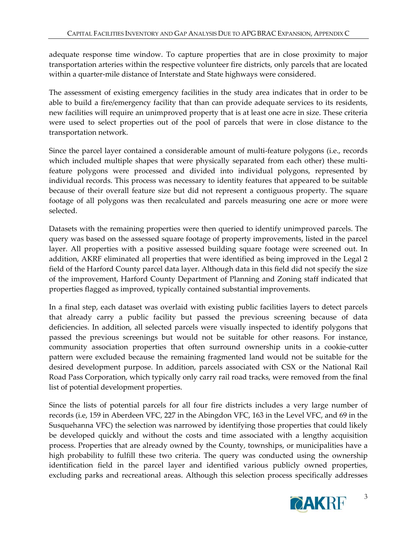adequate response time window. To capture properties that are in close proximity to major transportation arteries within the respective volunteer fire districts, only parcels that are located within a quarter-mile distance of Interstate and State highways were considered.

The assessment of existing emergency facilities in the study area indicates that in order to be able to build a fire/emergency facility that than can provide adequate services to its residents, new facilities will require an unimproved property that is at least one acre in size. These criteria were used to select properties out of the pool of parcels that were in close distance to the transportation network.

Since the parcel layer contained a considerable amount of multi-feature polygons (i.e., records which included multiple shapes that were physically separated from each other) these multifeature polygons were processed and divided into individual polygons, represented by individual records. This process was necessary to identity features that appeared to be suitable because of their overall feature size but did not represent a contiguous property. The square footage of all polygons was then recalculated and parcels measuring one acre or more were selected.

Datasets with the remaining properties were then queried to identify unimproved parcels. The query was based on the assessed square footage of property improvements, listed in the parcel layer. All properties with a positive assessed building square footage were screened out. In addition, AKRF eliminated all properties that were identified as being improved in the Legal 2 field of the Harford County parcel data layer. Although data in this field did not specify the size of the improvement, Harford County Department of Planning and Zoning staff indicated that properties flagged as improved, typically contained substantial improvements.

In a final step, each dataset was overlaid with existing public facilities layers to detect parcels that already carry a public facility but passed the previous screening because of data deficiencies. In addition, all selected parcels were visually inspected to identify polygons that passed the previous screenings but would not be suitable for other reasons. For instance, community association properties that often surround ownership units in a cookie‐cutter pattern were excluded because the remaining fragmented land would not be suitable for the desired development purpose. In addition, parcels associated with CSX or the National Rail Road Pass Corporation, which typically only carry rail road tracks, were removed from the final list of potential development properties.

Since the lists of potential parcels for all four fire districts includes a very large number of records (i.e, 159 in Aberdeen VFC, 227 in the Abingdon VFC, 163 in the Level VFC, and 69 in the Susquehanna VFC) the selection was narrowed by identifying those properties that could likely be developed quickly and without the costs and time associated with a lengthy acquisition process. Properties that are already owned by the County, townships, or municipalities have a high probability to fulfill these two criteria. The query was conducted using the ownership identification field in the parcel layer and identified various publicly owned properties, excluding parks and recreational areas. Although this selection process specifically addresses

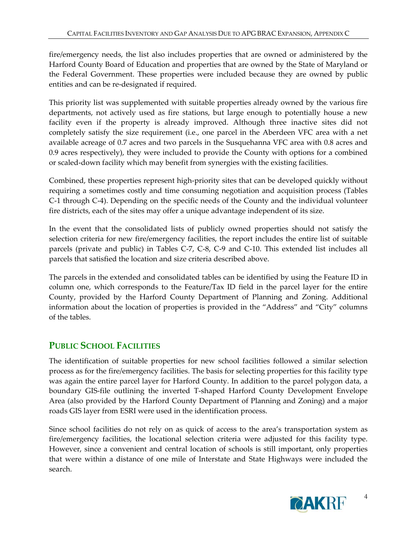fire/emergency needs, the list also includes properties that are owned or administered by the Harford County Board of Education and properties that are owned by the State of Maryland or the Federal Government. These properties were included because they are owned by public entities and can be re‐designated if required.

This priority list was supplemented with suitable properties already owned by the various fire departments, not actively used as fire stations, but large enough to potentially house a new facility even if the property is already improved. Although three inactive sites did not completely satisfy the size requirement (i.e., one parcel in the Aberdeen VFC area with a net available acreage of 0.7 acres and two parcels in the Susquehanna VFC area with 0.8 acres and 0.9 acres respectively), they were included to provide the County with options for a combined or scaled‐down facility which may benefit from synergies with the existing facilities.

Combined, these properties represent high‐priority sites that can be developed quickly without requiring a sometimes costly and time consuming negotiation and acquisition process (Tables C‐1 through C‐4). Depending on the specific needs of the County and the individual volunteer fire districts, each of the sites may offer a unique advantage independent of its size.

In the event that the consolidated lists of publicly owned properties should not satisfy the selection criteria for new fire/emergency facilities, the report includes the entire list of suitable parcels (private and public) in Tables C‐7, C‐8, C‐9 and C‐10. This extended list includes all parcels that satisfied the location and size criteria described above.

The parcels in the extended and consolidated tables can be identified by using the Feature ID in column one, which corresponds to the Feature/Tax ID field in the parcel layer for the entire County, provided by the Harford County Department of Planning and Zoning. Additional information about the location of properties is provided in the "Address" and "City" columns of the tables.

## **PUBLIC SCHOOL FACILITIES**

The identification of suitable properties for new school facilities followed a similar selection process as for the fire/emergency facilities. The basis for selecting properties for this facility type was again the entire parcel layer for Harford County. In addition to the parcel polygon data, a boundary GIS‐file outlining the inverted T‐shaped Harford County Development Envelope Area (also provided by the Harford County Department of Planning and Zoning) and a major roads GIS layer from ESRI were used in the identification process.

Since school facilities do not rely on as quick of access to the area's transportation system as fire/emergency facilities, the locational selection criteria were adjusted for this facility type. However, since a convenient and central location of schools is still important, only properties that were within a distance of one mile of Interstate and State Highways were included the search.

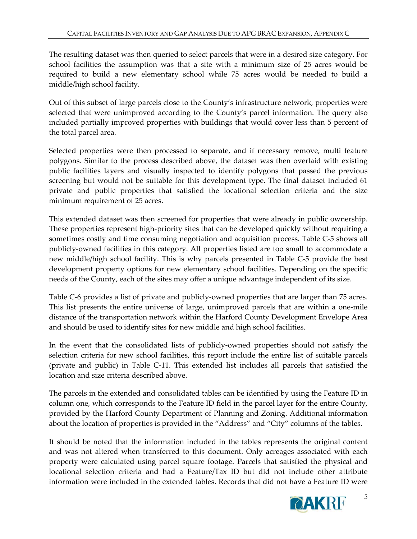The resulting dataset was then queried to select parcels that were in a desired size category. For school facilities the assumption was that a site with a minimum size of 25 acres would be required to build a new elementary school while 75 acres would be needed to build a middle/high school facility.

Out of this subset of large parcels close to the County's infrastructure network, properties were selected that were unimproved according to the County's parcel information. The query also included partially improved properties with buildings that would cover less than 5 percent of the total parcel area.

Selected properties were then processed to separate, and if necessary remove, multi feature polygons. Similar to the process described above, the dataset was then overlaid with existing public facilities layers and visually inspected to identify polygons that passed the previous screening but would not be suitable for this development type. The final dataset included 61 private and public properties that satisfied the locational selection criteria and the size minimum requirement of 25 acres.

This extended dataset was then screened for properties that were already in public ownership. These properties represent high-priority sites that can be developed quickly without requiring a sometimes costly and time consuming negotiation and acquisition process. Table C-5 shows all publicly‐owned facilities in this category. All properties listed are too small to accommodate a new middle/high school facility. This is why parcels presented in Table C‐5 provide the best development property options for new elementary school facilities. Depending on the specific needs of the County, each of the sites may offer a unique advantage independent of its size.

Table C-6 provides a list of private and publicly-owned properties that are larger than 75 acres. This list presents the entire universe of large, unimproved parcels that are within a one-mile distance of the transportation network within the Harford County Development Envelope Area and should be used to identify sites for new middle and high school facilities.

In the event that the consolidated lists of publicly-owned properties should not satisfy the selection criteria for new school facilities, this report include the entire list of suitable parcels (private and public) in Table C‐11. This extended list includes all parcels that satisfied the location and size criteria described above.

The parcels in the extended and consolidated tables can be identified by using the Feature ID in column one, which corresponds to the Feature ID field in the parcel layer for the entire County, provided by the Harford County Department of Planning and Zoning. Additional information about the location of properties is provided in the "Address" and "City" columns of the tables.

It should be noted that the information included in the tables represents the original content and was not altered when transferred to this document. Only acreages associated with each property were calculated using parcel square footage. Parcels that satisfied the physical and locational selection criteria and had a Feature/Tax ID but did not include other attribute information were included in the extended tables. Records that did not have a Feature ID were

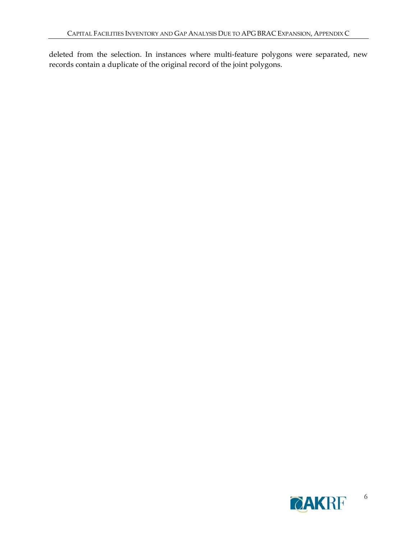deleted from the selection. In instances where multi-feature polygons were separated, new records contain a duplicate of the original record of the joint polygons.

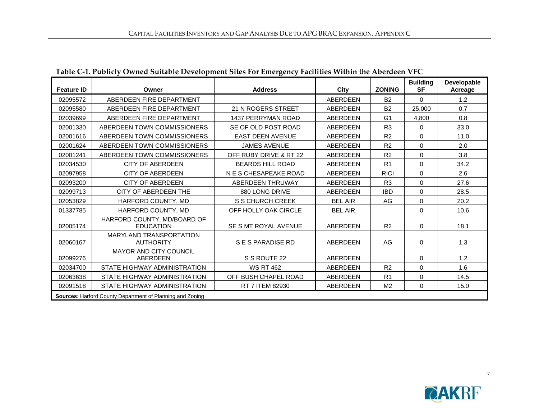| <b>Feature ID</b> | Owner                                                            | <b>Address</b>            | City            | <b>ZONING</b>  | <b>Building</b><br><b>SF</b> | Developable<br>Acreage |
|-------------------|------------------------------------------------------------------|---------------------------|-----------------|----------------|------------------------------|------------------------|
| 02095572          | ABERDEEN FIRE DEPARTMENT                                         |                           | ABERDEEN        | <b>B2</b>      | $\Omega$                     | 1.2                    |
| 02095580          | ABERDEEN FIRE DEPARTMENT                                         | 21 N ROGERS STREET        | <b>ABERDEEN</b> | <b>B2</b>      | 25,000                       | 0.7                    |
| 02039699          | ABERDEEN FIRE DEPARTMENT                                         | <b>1437 PERRYMAN ROAD</b> | ABERDEEN        | G <sub>1</sub> | 4,800                        | 0.8                    |
| 02001330          | ABERDEEN TOWN COMMISSIONERS                                      | SE OF OLD POST ROAD       | <b>ABERDEEN</b> | R <sub>3</sub> | $\mathbf 0$                  | 33.0                   |
| 02001616          | ABERDEEN TOWN COMMISSIONERS                                      | <b>EAST DEEN AVENUE</b>   | ABERDEEN        | R <sub>2</sub> | $\Omega$                     | 11.0                   |
| 02001624          | ABERDEEN TOWN COMMISSIONERS                                      | <b>JAMES AVENUE</b>       | <b>ABERDEEN</b> | R <sub>2</sub> | 0                            | 2.0                    |
| 02001241          | ABERDEEN TOWN COMMISSIONERS                                      | OFF RUBY DRIVE & RT 22    | <b>ABERDEEN</b> | R2             | 0                            | 3.8                    |
| 02034530          | <b>CITY OF ABERDEEN</b>                                          | <b>BEARDS HILL ROAD</b>   | <b>ABERDEEN</b> | R <sub>1</sub> | 0                            | 34.2                   |
| 02097958          | <b>CITY OF ABERDEEN</b>                                          | N E S CHESAPEAKE ROAD     | <b>ABERDEEN</b> | <b>RICI</b>    | $\mathbf 0$                  | 2.6                    |
| 02093200          | <b>CITY OF ABERDEEN</b>                                          | ABERDEEN THRUWAY          | ABERDEEN        | R <sub>3</sub> | $\mathbf 0$                  | 27.6                   |
| 02099713          | <b>CITY OF ABERDEEN THE</b>                                      | 880 LONG DRIVE            | ABERDEEN        | <b>IBD</b>     | $\Omega$                     | 28.5                   |
| 02053829          | HARFORD COUNTY, MD                                               | <b>S S CHURCH CREEK</b>   | <b>BEL AIR</b>  | AG             | $\Omega$                     | 20.2                   |
| 01337785          | HARFORD COUNTY, MD                                               | OFF HOLLY OAK CIRCLE      | <b>BEL AIR</b>  |                | $\Omega$                     | 10.6                   |
| 02005174          | HARFORD COUNTY, MD/BOARD OF<br><b>EDUCATION</b>                  | SE S MT ROYAL AVENUE      | ABERDEEN        | R <sub>2</sub> | $\mathbf 0$                  | 18.1                   |
| 02060167          | <b>MARYLAND TRANSPORTATION</b><br><b>AUTHORITY</b>               | S E S PARADISE RD         | ABERDEEN        | AG             | $\mathbf 0$                  | 1.3                    |
| 02099276          | <b>MAYOR AND CITY COUNCIL</b><br>ABERDEEN                        | S S ROUTE 22              | ABERDEEN        |                | 0                            | 1.2                    |
| 02034700          | STATE HIGHWAY ADMINISTRATION                                     | <b>WS RT 462</b>          | ABERDEEN        | R <sub>2</sub> | $\mathbf 0$                  | 1.6                    |
| 02063638          | STATE HIGHWAY ADMINISTRATION                                     | OFF BUSH CHAPEL ROAD      | <b>ABERDEEN</b> | R <sub>1</sub> | 0                            | 14.5                   |
| 02091518          | STATE HIGHWAY ADMINISTRATION                                     | RT 7 ITEM 82930           | <b>ABERDEEN</b> | M <sub>2</sub> | 0                            | 15.0                   |
|                   | <b>Sources: Harford County Department of Planning and Zoning</b> |                           |                 |                |                              |                        |

**Table C‐1. Publicly Owned Suitable Development Sites For Emergency Facilities Within the Aberdeen VFC**

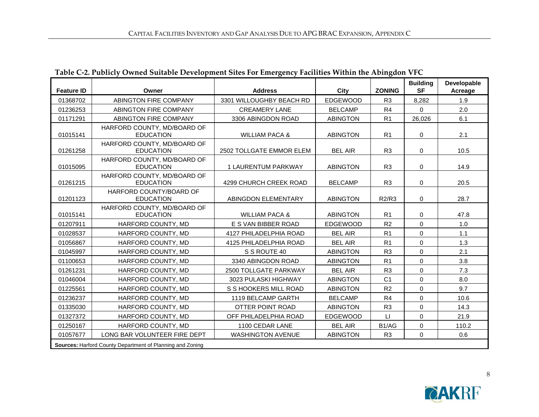| <b>Feature ID</b> | Owner                                                            | <b>Address</b>             | City            | <b>ZONING</b>      | <b>Building</b><br><b>SF</b> | Developable<br>Acreage |
|-------------------|------------------------------------------------------------------|----------------------------|-----------------|--------------------|------------------------------|------------------------|
| 01368702          | <b>ABINGTON FIRE COMPANY</b>                                     | 3301 WILLOUGHBY BEACH RD   | <b>EDGEWOOD</b> | R <sub>3</sub>     | 8,282                        | 1.9                    |
| 01236253          | ABINGTON FIRE COMPANY                                            | <b>CREAMERY LANE</b>       | <b>BELCAMP</b>  | R4                 | $\mathbf 0$                  | 2.0                    |
| 01171291          | ABINGTON FIRE COMPANY                                            | 3306 ABINGDON ROAD         | <b>ABINGTON</b> | R <sub>1</sub>     | 26,026                       | 6.1                    |
| 01015141          | HARFORD COUNTY, MD/BOARD OF<br><b>EDUCATION</b>                  | <b>WILLIAM PACA &amp;</b>  | <b>ABINGTON</b> | R <sub>1</sub>     | 0                            | 2.1                    |
| 01261258          | HARFORD COUNTY, MD/BOARD OF<br><b>EDUCATION</b>                  | 2502 TOLLGATE EMMOR ELEM   | <b>BEL AIR</b>  | R <sub>3</sub>     | 0                            | 10.5                   |
| 01015095          | HARFORD COUNTY, MD/BOARD OF<br><b>EDUCATION</b>                  | <b>1 LAURENTUM PARKWAY</b> | <b>ABINGTON</b> | R <sub>3</sub>     | $\mathbf 0$                  | 14.9                   |
| 01261215          | HARFORD COUNTY, MD/BOARD OF<br><b>EDUCATION</b>                  | 4299 CHURCH CREEK ROAD     | <b>BELCAMP</b>  | R <sub>3</sub>     | $\mathbf 0$                  | 20.5                   |
| 01201123          | HARFORD COUNTY/BOARD OF<br><b>EDUCATION</b>                      | ABINGDON ELEMENTARY        | <b>ABINGTON</b> | <b>R2/R3</b>       | 0                            | 28.7                   |
| 01015141          | HARFORD COUNTY, MD/BOARD OF<br><b>EDUCATION</b>                  | <b>WILLIAM PACA &amp;</b>  | <b>ABINGTON</b> | R <sub>1</sub>     | $\mathbf 0$                  | 47.8                   |
| 01207911          | HARFORD COUNTY, MD                                               | E S VAN BIBBER ROAD        | <b>EDGEWOOD</b> | R2                 | $\mathbf 0$                  | 1.0                    |
| 01028537          | HARFORD COUNTY, MD                                               | 4127 PHILADELPHIA ROAD     | <b>BEL AIR</b>  | R <sub>1</sub>     | $\Omega$                     | 1.1                    |
| 01056867          | HARFORD COUNTY, MD                                               | 4125 PHILADELPHIA ROAD     | <b>BEL AIR</b>  | R <sub>1</sub>     | $\mathbf 0$                  | 1.3                    |
| 01045997          | HARFORD COUNTY, MD                                               | S S ROUTE 40               | <b>ABINGTON</b> | R <sub>3</sub>     | $\Omega$                     | 2.1                    |
| 01100653          | HARFORD COUNTY, MD                                               | 3340 ABINGDON ROAD         | <b>ABINGTON</b> | R <sub>1</sub>     | $\mathbf 0$                  | 3.8                    |
| 01261231          | HARFORD COUNTY, MD                                               | 2500 TOLLGATE PARKWAY      | <b>BEL AIR</b>  | R <sub>3</sub>     | $\Omega$                     | 7.3                    |
| 01046004          | HARFORD COUNTY, MD                                               | 3023 PULASKI HIGHWAY       | <b>ABINGTON</b> | C <sub>1</sub>     | $\mathbf 0$                  | 8.0                    |
| 01225561          | HARFORD COUNTY, MD                                               | S S HOOKERS MILL ROAD      | <b>ABINGTON</b> | R2                 | $\mathbf 0$                  | 9.7                    |
| 01236237          | HARFORD COUNTY, MD                                               | 1119 BELCAMP GARTH         | <b>BELCAMP</b>  | R4                 | $\mathbf 0$                  | 10.6                   |
| 01335030          | HARFORD COUNTY, MD                                               | OTTER POINT ROAD           | <b>ABINGTON</b> | R <sub>3</sub>     | $\mathbf 0$                  | 14.3                   |
| 01327372          | HARFORD COUNTY, MD                                               | OFF PHILADELPHIA ROAD      | <b>EDGEWOOD</b> | $\Box$             | $\mathbf 0$                  | 21.9                   |
| 01250167          | HARFORD COUNTY, MD                                               | 1100 CEDAR LANE            | <b>BEL AIR</b>  | B <sub>1</sub> /AG | 0                            | 110.2                  |
| 01057677          | LONG BAR VOLUNTEER FIRE DEPT                                     | <b>WASHINGTON AVENUE</b>   | <b>ABINGTON</b> | R <sub>3</sub>     | $\Omega$                     | 0.6                    |
|                   | <b>Sources: Harford County Department of Planning and Zoning</b> |                            |                 |                    |                              |                        |

### **Table C‐2. Publicly Owned Suitable Development Sites For Emergency Facilities Within the Abingdon VFC**

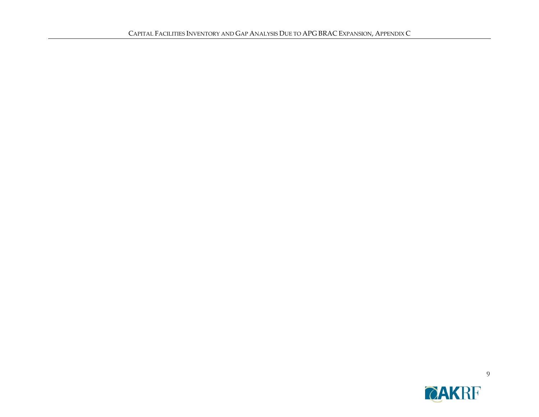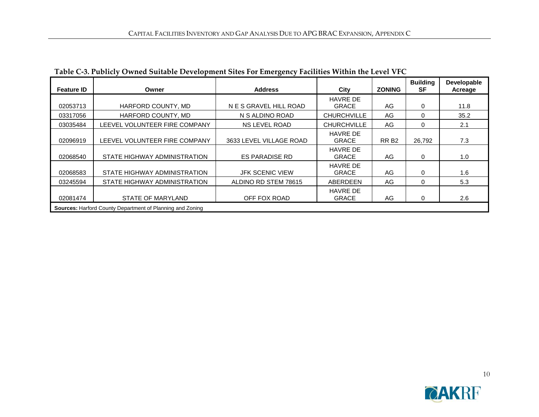| <b>Feature ID</b> | Owner                                                            | <b>Address</b>          | City                            | <b>ZONING</b>    | <b>Building</b><br>SF | <b>Developable</b><br>Acreage |
|-------------------|------------------------------------------------------------------|-------------------------|---------------------------------|------------------|-----------------------|-------------------------------|
|                   |                                                                  |                         | <b>HAVRE DE</b>                 |                  |                       |                               |
| 02053713          | HARFORD COUNTY, MD                                               | N E S GRAVEL HILL ROAD  | <b>GRACE</b>                    | AG               | 0                     | 11.8                          |
| 03317056          | HARFORD COUNTY, MD                                               | N S ALDINO ROAD         | <b>CHURCHVILLE</b>              | AG               | 0                     | 35.2                          |
| 03035484          | LEEVEL VOLUNTEER FIRE COMPANY                                    | <b>NS LEVEL ROAD</b>    | <b>CHURCHVILLE</b>              | AG               | 0                     | 2.1                           |
| 02096919          | LEEVEL VOLUNTEER FIRE COMPANY                                    | 3633 LEVEL VILLAGE ROAD | <b>HAVRE DE</b><br><b>GRACE</b> | RR <sub>B2</sub> | 26,792                | 7.3                           |
| 02068540          | STATE HIGHWAY ADMINISTRATION                                     | <b>ES PARADISE RD</b>   | <b>HAVRE DE</b><br><b>GRACE</b> | AG               | 0                     | 1.0                           |
| 02068583          | STATE HIGHWAY ADMINISTRATION                                     | <b>JFK SCENIC VIEW</b>  | <b>HAVRE DE</b><br><b>GRACE</b> | AG               | $\Omega$              | 1.6                           |
| 03245594          | STATE HIGHWAY ADMINISTRATION                                     | ALDINO RD STEM 78615    | ABERDEEN                        | AG               | 0                     | 5.3                           |
| 02081474          | STATE OF MARYLAND                                                | OFF FOX ROAD            | <b>HAVRE DE</b><br><b>GRACE</b> | AG               | 0                     | 2.6                           |
|                   | <b>Sources: Harford County Department of Planning and Zoning</b> |                         |                                 |                  |                       |                               |

| Table C-3. Publicly Owned Suitable Development Sites For Emergency Facilities Within the Level VFC |  |  |
|----------------------------------------------------------------------------------------------------|--|--|
|                                                                                                    |  |  |

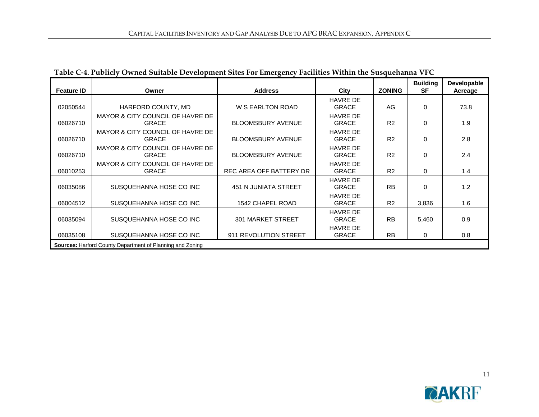| <b>Feature ID</b> | Owner                                                            | <b>Address</b>              | City                            | <b>ZONING</b>  | <b>Building</b><br><b>SF</b> | Developable<br>Acreage |
|-------------------|------------------------------------------------------------------|-----------------------------|---------------------------------|----------------|------------------------------|------------------------|
| 02050544          | HARFORD COUNTY, MD                                               | <b>W S EARLTON ROAD</b>     | <b>HAVRE DE</b><br><b>GRACE</b> | AG             | 0                            | 73.8                   |
| 06026710          | MAYOR & CITY COUNCIL OF HAVRE DE<br><b>GRACE</b>                 | <b>BLOOMSBURY AVENUE</b>    | <b>HAVRE DE</b><br><b>GRACE</b> | R <sub>2</sub> | $\mathbf 0$                  | 1.9                    |
| 06026710          | MAYOR & CITY COUNCIL OF HAVRE DE<br><b>GRACE</b>                 | <b>BLOOMSBURY AVENUE</b>    | <b>HAVRE DE</b><br><b>GRACE</b> | R <sub>2</sub> | 0                            | 2.8                    |
| 06026710          | MAYOR & CITY COUNCIL OF HAVRE DE<br><b>GRACE</b>                 | <b>BLOOMSBURY AVENUE</b>    | <b>HAVRE DE</b><br><b>GRACE</b> | R <sub>2</sub> | 0                            | 2.4                    |
| 06010253          | MAYOR & CITY COUNCIL OF HAVRE DE<br><b>GRACE</b>                 | REC AREA OFF BATTERY DR     | <b>HAVRE DE</b><br><b>GRACE</b> | R <sub>2</sub> | 0                            | 1.4                    |
| 06035086          | SUSQUEHANNA HOSE CO INC                                          | <b>451 N JUNIATA STREET</b> | <b>HAVRE DE</b><br><b>GRACE</b> | <b>RB</b>      | $\Omega$                     | 1.2                    |
| 06004512          | SUSQUEHANNA HOSE CO INC                                          | 1542 CHAPEL ROAD            | <b>HAVRE DE</b><br><b>GRACE</b> | R <sub>2</sub> | 3,836                        | 1.6                    |
| 06035094          | SUSQUEHANNA HOSE CO INC                                          | <b>301 MARKET STREET</b>    | <b>HAVRE DE</b><br><b>GRACE</b> | <b>RB</b>      | 5,460                        | 0.9                    |
| 06035108          | SUSQUEHANNA HOSE CO INC                                          | 911 REVOLUTION STREET       | <b>HAVRE DE</b><br><b>GRACE</b> | <b>RB</b>      | 0                            | 0.8                    |
|                   | <b>Sources: Harford County Department of Planning and Zoning</b> |                             |                                 |                |                              |                        |

**Table C‐4. Publicly Owned Suitable Development Sites For Emergency Facilities Within the Susquehanna VFC**

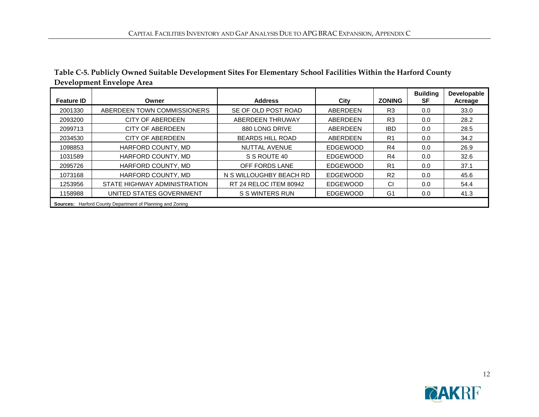|                           | Table C-5. Publicly Owned Suitable Development Sites For Elementary School Facilities Within the Harford County |
|---------------------------|-----------------------------------------------------------------------------------------------------------------|
| Development Envelope Area |                                                                                                                 |

| <b>Feature ID</b> | Owner                                                            | <b>Address</b>          | City            | <b>ZONING</b>  | <b>Building</b><br>SF | Developable<br>Acreage |
|-------------------|------------------------------------------------------------------|-------------------------|-----------------|----------------|-----------------------|------------------------|
| 2001330           | ABERDEEN TOWN COMMISSIONERS                                      | SE OF OLD POST ROAD     | ABERDEEN        | R <sub>3</sub> | 0.0                   | 33.0                   |
| 2093200           | CITY OF ABERDEEN                                                 | ABERDEEN THRUWAY        | ABERDEEN        | R <sub>3</sub> | 0.0                   | 28.2                   |
| 2099713           | <b>CITY OF ABERDEEN</b>                                          | 880 LONG DRIVE          | ABERDEEN        | <b>IBD</b>     | 0.0                   | 28.5                   |
| 2034530           | CITY OF ABERDEEN                                                 | <b>BEARDS HILL ROAD</b> | ABERDEEN        | R <sub>1</sub> | 0.0                   | 34.2                   |
| 1098853           | HARFORD COUNTY, MD                                               | NUTTAL AVENUE           | <b>EDGEWOOD</b> | R4             | 0.0                   | 26.9                   |
| 1031589           | HARFORD COUNTY, MD                                               | S S ROUTE 40            | <b>EDGEWOOD</b> | R4             | 0.0                   | 32.6                   |
| 2095726           | HARFORD COUNTY, MD                                               | OFF FORDS LANE          | <b>EDGEWOOD</b> | R <sub>1</sub> | 0.0                   | 37.1                   |
| 1073168           | HARFORD COUNTY, MD                                               | N S WILLOUGHBY BEACH RD | <b>EDGEWOOD</b> | R <sub>2</sub> | 0.0                   | 45.6                   |
| 1253956           | STATE HIGHWAY ADMINISTRATION                                     | RT 24 RELOC ITEM 80942  | <b>EDGEWOOD</b> | <b>CI</b>      | 0.0                   | 54.4                   |
| 1158988           | UNITED STATES GOVERNMENT                                         | S S WINTERS RUN         | <b>EDGEWOOD</b> | G <sub>1</sub> | 0.0                   | 41.3                   |
|                   | <b>Sources:</b> Harford County Department of Planning and Zoning |                         |                 |                |                       |                        |

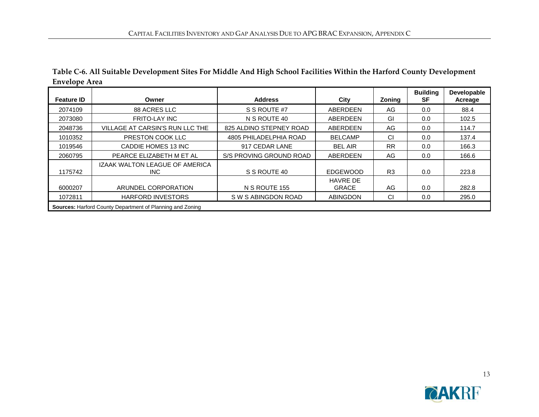### Table C-6. All Suitable Development Sites For Middle And High School Facilities Within the Harford County Development **Envelope Area**

| <b>Feature ID</b> | Owner                                                            | <b>Address</b>          | City                            | Zoning         | <b>Building</b><br>SF | Developable<br>Acreage |
|-------------------|------------------------------------------------------------------|-------------------------|---------------------------------|----------------|-----------------------|------------------------|
| 2074109           | 88 ACRES LLC                                                     | S S ROUTE #7            | ABERDEEN                        | AG             | 0.0                   | 88.4                   |
| 2073080           | <b>FRITO-LAY INC</b>                                             | N S ROUTE 40            | ABERDEEN                        | GI             | 0.0                   | 102.5                  |
| 2048736           | VILLAGE AT CARSIN'S RUN LLC THE                                  | 825 ALDINO STEPNEY ROAD | ABERDEEN                        | AG             | 0.0                   | 114.7                  |
| 1010352           | PRESTON COOK LLC                                                 | 4805 PHILADELPHIA ROAD  | <b>BELCAMP</b>                  | CI             | 0.0                   | 137.4                  |
| 1019546           | CADDIE HOMES 13 INC                                              | 917 CEDAR LANE          | <b>BEL AIR</b>                  | <b>RR</b>      | 0.0                   | 166.3                  |
| 2060795           | PEARCE ELIZABETH M ET AL                                         | S/S PROVING GROUND ROAD | ABERDEEN                        | AG             | 0.0                   | 166.6                  |
| 1175742           | IZAAK WALTON LEAGUE OF AMERICA<br>INC.                           | S S ROUTE 40            | <b>EDGEWOOD</b>                 | R <sub>3</sub> | 0.0                   | 223.8                  |
| 6000207           | ARUNDEL CORPORATION                                              | N S ROUTE 155           | <b>HAVRE DE</b><br><b>GRACE</b> | AG             | 0.0                   | 282.8                  |
| 1072811           | <b>HARFORD INVESTORS</b>                                         | S W S ABINGDON ROAD     | <b>ABINGDON</b>                 | CI             | 0.0                   | 295.0                  |
|                   | <b>Sources: Harford County Department of Planning and Zoning</b> |                         |                                 |                |                       |                        |

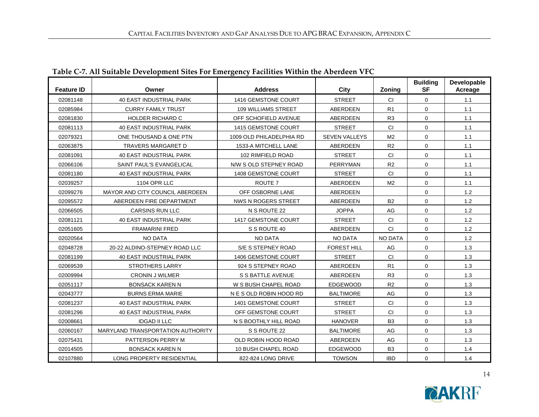| <b>Feature ID</b> | Owner                             | <b>Address</b>           | City                 | Zoning         | <b>Building</b><br><b>SF</b> | Developable<br>Acreage |
|-------------------|-----------------------------------|--------------------------|----------------------|----------------|------------------------------|------------------------|
| 02081148          | <b>40 EAST INDUSTRIAL PARK</b>    | 1416 GEMSTONE COURT      | <b>STREET</b>        | <b>CI</b>      | $\mathbf 0$                  | 1.1                    |
| 02085984          | <b>CURRY FAMILY TRUST</b>         | 109 WILLIAMS STREET      | ABERDEEN             | R <sub>1</sub> | $\mathbf 0$                  | 1.1                    |
| 02081830          | HOLDER RICHARD C                  | OFF SCHOFIELD AVENUE     | ABERDEEN             | R <sub>3</sub> | $\Omega$                     | 1.1                    |
| 02081113          | <b>40 EAST INDUSTRIAL PARK</b>    | 1415 GEMSTONE COURT      | <b>STREET</b>        | <b>CI</b>      | $\Omega$                     | 1.1                    |
| 02079321          | ONE THOUSAND & ONE PTN            | 1009 OLD PHILADELPHIA RD | <b>SEVEN VALLEYS</b> | M <sub>2</sub> | $\mathbf 0$                  | $1.1$                  |
| 02063875          | <b>TRAVERS MARGARET D</b>         | 1533-A MITCHELL LANE     | ABERDEEN             | R2             | $\mathbf 0$                  | 1.1                    |
| 02081091          | <b>40 EAST INDUSTRIAL PARK</b>    | 102 RIMFIELD ROAD        | <b>STREET</b>        | <b>CI</b>      | $\Omega$                     | 1.1                    |
| 02066106          | SAINT PAUL'S EVANGELICAL          | N/W S OLD STEPNEY ROAD   | PERRYMAN             | R <sub>2</sub> | $\mathbf 0$                  | 1.1                    |
| 02081180          | <b>40 EAST INDUSTRIAL PARK</b>    | 1408 GEMSTONE COURT      | <b>STREET</b>        | <b>CI</b>      | $\mathbf 0$                  | 1.1                    |
| 02039257          | <b>1104 OPR LLC</b>               | ROUTE <sub>7</sub>       | <b>ABERDEEN</b>      | M <sub>2</sub> | $\Omega$                     | 1.1                    |
| 02099276          | MAYOR AND CITY COUNCIL ABERDEEN   | OFF OSBORNE LANE         | <b>ABERDEEN</b>      |                | $\mathbf 0$                  | 1.2                    |
| 02095572          | ABERDEEN FIRE DEPARTMENT          | NWS N ROGERS STREET      | <b>ABERDEEN</b>      | <b>B2</b>      | $\Omega$                     | 1.2                    |
| 02066505          | <b>CARSINS RUN LLC</b>            | N S ROUTE 22             | <b>JOPPA</b>         | AG             | $\Omega$                     | 1.2                    |
| 02081121          | <b>40 EAST INDUSTRIAL PARK</b>    | 1417 GEMSTONE COURT      | <b>STREET</b>        | <b>CI</b>      | $\mathbf 0$                  | 1.2                    |
| 02051605          | <b>FRAMARINI FRED</b>             | S S ROUTE 40             | ABERDEEN             | <b>CI</b>      | $\Omega$                     | 1.2                    |
| 02020564          | <b>NO DATA</b>                    | <b>NO DATA</b>           | <b>NO DATA</b>       | <b>NO DATA</b> | $\Omega$                     | 1.2                    |
| 02048728          | 20-22 ALDINO-STEPNEY ROAD LLC     | S/E S STEPNEY ROAD       | <b>FOREST HILL</b>   | AG             | $\mathbf 0$                  | 1.3                    |
| 02081199          | <b>40 EAST INDUSTRIAL PARK</b>    | 1406 GEMSTONE COURT      | <b>STREET</b>        | <b>CI</b>      | $\mathbf 0$                  | 1.3                    |
| 02069539          | <b>STROTHERS LARRY</b>            | 924 S STEPNEY ROAD       | <b>ABERDEEN</b>      | R <sub>1</sub> | $\Omega$                     | 1.3                    |
| 02009994          | <b>CRONIN J WILMER</b>            | <b>S S BATTLE AVENUE</b> | <b>ABERDEEN</b>      | R <sub>3</sub> | $\Omega$                     | 1.3                    |
| 02051117          | <b>BONSACK KAREN N</b>            | W S BUSH CHAPEL ROAD     | <b>EDGEWOOD</b>      | R <sub>2</sub> | $\Omega$                     | 1.3                    |
| 02043777          | <b>BURNS ERMA MARIE</b>           | N E S OLD ROBIN HOOD RD  | <b>BALTIMORE</b>     | AG             | $\mathbf 0$                  | 1.3                    |
| 02081237          | <b>40 EAST INDUSTRIAL PARK</b>    | 1401 GEMSTONE COURT      | <b>STREET</b>        | <b>CI</b>      | $\mathbf 0$                  | 1.3                    |
| 02081296          | 40 EAST INDUSTRIAL PARK           | OFF GEMSTONE COURT       | <b>STREET</b>        | <b>CI</b>      | $\Omega$                     | 1.3                    |
| 02008661          | <b>IDGAD II LLC</b>               | N S BOOTHLY HILL ROAD    | <b>HANOVER</b>       | B <sub>3</sub> | $\mathbf 0$                  | 1.3                    |
| 02060167          | MARYLAND TRANSPORTATION AUTHORITY | S S ROUTE 22             | <b>BALTIMORE</b>     | AG             | $\mathbf 0$                  | 1.3                    |
| 02075431          | PATTERSON PERRY M                 | OLD ROBIN HOOD ROAD      | ABERDEEN             | AG             | $\Omega$                     | 1.3                    |
| 02014505          | <b>BONSACK KAREN N</b>            | 10 BUSH CHAPEL ROAD      | <b>EDGEWOOD</b>      | B <sub>3</sub> | $\mathbf 0$                  | 1.4                    |
| 02107880          | <b>LONG PROPERTY RESIDENTIAL</b>  | 822-824 LONG DRIVE       | <b>TOWSON</b>        | <b>IBD</b>     | $\mathbf 0$                  | 1.4                    |

**Table C‐7. All Suitable Development Sites For Emergency Facilities Within the Aberdeen VFC**

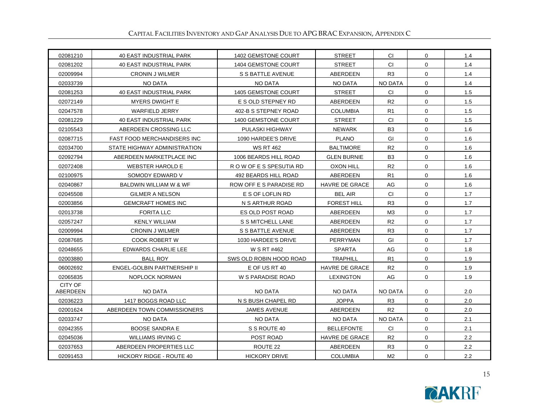| 02081210            | <b>40 EAST INDUSTRIAL PARK</b>     | 1402 GEMSTONE COURT      | <b>STREET</b>         | <b>CI</b>      | $\mathbf 0$  | 1.4 |
|---------------------|------------------------------------|--------------------------|-----------------------|----------------|--------------|-----|
| 02081202            | <b>40 EAST INDUSTRIAL PARK</b>     | 1404 GEMSTONE COURT      | <b>STREET</b>         | <b>CI</b>      | $\mathbf 0$  | 1.4 |
| 02009994            | <b>CRONIN J WILMER</b>             | S S BATTLE AVENUE        | ABERDEEN              | R <sub>3</sub> | $\mathbf 0$  | 1.4 |
| 02033739            | NO DATA                            | <b>NO DATA</b>           | NO DATA               | <b>NO DATA</b> | $\mathbf 0$  | 1.4 |
| 02081253            | <b>40 EAST INDUSTRIAL PARK</b>     | 1405 GEMSTONE COURT      | <b>STREET</b>         | <b>CI</b>      | $\mathbf 0$  | 1.5 |
| 02072149            | <b>MYERS DWIGHT E</b>              | E S OLD STEPNEY RD       | ABERDEEN              | R2             | 0            | 1.5 |
| 02047578            | <b>WARFIELD JERRY</b>              | 402-B S STEPNEY ROAD     | <b>COLUMBIA</b>       | R <sub>1</sub> | 0            | 1.5 |
| 02081229            | <b>40 EAST INDUSTRIAL PARK</b>     | 1400 GEMSTONE COURT      | <b>STREET</b>         | CI.            | 0            | 1.5 |
| 02105543            | ABERDEEN CROSSING LLC              | PULASKI HIGHWAY          | <b>NEWARK</b>         | B <sub>3</sub> | $\mathsf{O}$ | 1.6 |
| 02087715            | <b>FAST FOOD MERCHANDISERS INC</b> | 1090 HARDEE'S DRIVE      | <b>PLANO</b>          | GI             | $\mathbf 0$  | 1.6 |
| 02034700            | STATE HIGHWAY ADMINISTRATION       | <b>WS RT 462</b>         | <b>BALTIMORE</b>      | R <sub>2</sub> | $\mathbf 0$  | 1.6 |
| 02092794            | ABERDEEN MARKETPLACE INC           | 1006 BEARDS HILL ROAD    | <b>GLEN BURNIE</b>    | B <sub>3</sub> | $\mathbf 0$  | 1.6 |
| 02072408            | <b>WEBSTER HAROLD E</b>            | R O W OF E S SPESUTIA RD | <b>OXON HILL</b>      | R <sub>2</sub> | 0            | 1.6 |
| 02100975            | SOMODY EDWARD V                    | 492 BEARDS HILL ROAD     | ABERDEEN              | R1             | $\mathbf 0$  | 1.6 |
| 02040867            | BALDWIN WILLIAM W & WF             | ROW OFF E S PARADISE RD  | HAVRE DE GRACE        | AG             | 0            | 1.6 |
| 02045508            | <b>GILMER A NELSON</b>             | E S OF LOFLIN RD         | <b>BEL AIR</b>        | CI.            | 0            | 1.7 |
| 02003856            | <b>GEMCRAFT HOMES INC</b>          | N S ARTHUR ROAD          | <b>FOREST HILL</b>    | R <sub>3</sub> | $\mathbf 0$  | 1.7 |
| 02013738            | <b>FORITA LLC</b>                  | ES OLD POST ROAD         | ABERDEEN              | M <sub>3</sub> | $\mathbf 0$  | 1.7 |
| 02057247            | <b>KENLY WILLIAM</b>               | S S MITCHELL LANE        | <b>ABERDEEN</b>       | R <sub>2</sub> | $\Omega$     | 1.7 |
| 02009994            | <b>CRONIN J WILMER</b>             | S S BATTLE AVENUE        | ABERDEEN              | R <sub>3</sub> | $\mathbf 0$  | 1.7 |
| 02087685            | <b>COOK ROBERT W</b>               | 1030 HARDEE'S DRIVE      | PERRYMAN              | GI             | 0            | 1.7 |
| 02048655            | <b>EDWARDS CHARLIE LEE</b>         | W S RT #462              | <b>SPARTA</b>         | AG             | 0            | 1.8 |
| 02003880            | <b>BALL ROY</b>                    | SWS OLD ROBIN HOOD ROAD  | <b>TRAPHILL</b>       | R1             | $\mathbf 0$  | 1.9 |
| 06002692            | ENGEL-GOLBIN PARTNERSHIP II        | E OF US RT 40            | <b>HAVRE DE GRACE</b> | R <sub>2</sub> | $\mathbf 0$  | 1.9 |
| 02065835            | NOPLOCK NORMAN                     | W S PARADISE ROAD        | <b>LEXINGTON</b>      | AG             | 0            | 1.9 |
| CITY OF<br>ABERDEEN | <b>NO DATA</b>                     | NO DATA                  | <b>NO DATA</b>        | <b>NO DATA</b> | 0            | 2.0 |
| 02036223            | 1417 BOGGS ROAD LLC                | N S BUSH CHAPEL RD       | <b>JOPPA</b>          | R <sub>3</sub> | $\Omega$     | 2.0 |
| 02001624            | ABERDEEN TOWN COMMISSIONERS        | <b>JAMES AVENUE</b>      | ABERDEEN              | R <sub>2</sub> | 0            | 2.0 |
| 02033747            | <b>NO DATA</b>                     | <b>NO DATA</b>           | <b>NO DATA</b>        | <b>NO DATA</b> | 0            | 2.1 |
| 02042355            | <b>BOOSE SANDRA E</b>              | S S ROUTE 40             | <b>BELLEFONTE</b>     | CI.            | $\mathbf 0$  | 2.1 |
| 02045036            | <b>WILLIAMS IRVING C</b>           | POST ROAD                | HAVRE DE GRACE        | R <sub>2</sub> | 0            | 2.2 |
| 02037653            | ABERDEEN PROPERTIES LLC            | ROUTE 22                 | ABERDEEN              | R <sub>3</sub> | 0            | 2.2 |
| 02091453            | <b>HICKORY RIDGE - ROUTE 40</b>    | <b>HICKORY DRIVE</b>     | <b>COLUMBIA</b>       | M <sub>2</sub> | $\Omega$     | 2.2 |

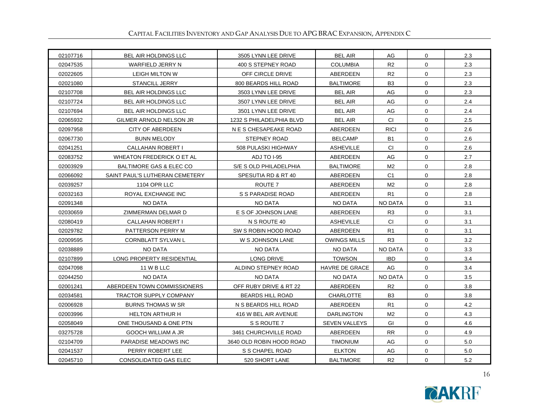| 02107716 | <b>BEL AIR HOLDINGS LLC</b>      | 3505 LYNN LEE DRIVE      | <b>BEL AIR</b>        | AG             | $\mathbf 0$  | 2.3 |
|----------|----------------------------------|--------------------------|-----------------------|----------------|--------------|-----|
| 02047535 | WARFIELD JERRY N                 | 400 S STEPNEY ROAD       | <b>COLUMBIA</b>       | R <sub>2</sub> | 0            | 2.3 |
| 02022605 | <b>LEIGH MILTON W</b>            | OFF CIRCLE DRIVE         | ABERDEEN              | R <sub>2</sub> | $\mathbf 0$  | 2.3 |
| 02021080 | <b>STANCILL JERRY</b>            | 800 BEARDS HILL ROAD     | <b>BALTIMORE</b>      | B <sub>3</sub> | $\mathbf 0$  | 2.3 |
| 02107708 | <b>BEL AIR HOLDINGS LLC</b>      | 3503 LYNN LEE DRIVE      | <b>BEL AIR</b>        | AG             | $\mathbf{0}$ | 2.3 |
| 02107724 | <b>BEL AIR HOLDINGS LLC</b>      | 3507 LYNN LEE DRIVE      | <b>BEL AIR</b>        | AG             | $\mathbf 0$  | 2.4 |
| 02107694 | <b>BEL AIR HOLDINGS LLC</b>      | 3501 LYNN LEE DRIVE      | <b>BEL AIR</b>        | AG             | $\mathbf 0$  | 2.4 |
| 02065932 | GILMER ARNOLD NELSON JR          | 1232 S PHILADELPHIA BLVD | <b>BEL AIR</b>        | CI.            | $\Omega$     | 2.5 |
| 02097958 | CITY OF ABERDEEN                 | N E S CHESAPEAKE ROAD    | ABERDEEN              | <b>RICI</b>    | 0            | 2.6 |
| 02067730 | <b>BUNN MELODY</b>               | <b>STEPNEY ROAD</b>      | <b>BELCAMP</b>        | <b>B1</b>      | $\mathbf 0$  | 2.6 |
| 02041251 | <b>CALLAHAN ROBERT I</b>         | 508 PULASKI HIGHWAY      | <b>ASHEVILLE</b>      | CI             | $\mathbf 0$  | 2.6 |
| 02083752 | <b>WHEATON FREDERICK O ET AL</b> | <b>ADJ TO I-95</b>       | ABERDEEN              | AG             | $\mathbf 0$  | 2.7 |
| 02003929 | BALTIMORE GAS & ELEC CO          | S/E S OLD PHILADELPHIA   | <b>BALTIMORE</b>      | M <sub>2</sub> | $\Omega$     | 2.8 |
| 02066092 | SAINT PAUL'S LUTHERAN CEMETERY   | SPESUTIA RD & RT 40      | ABERDEEN              | C <sub>1</sub> | $\Omega$     | 2.8 |
| 02039257 | 1104 OPR LLC                     | ROUTE <sub>7</sub>       | ABERDEEN              | M <sub>2</sub> | 0            | 2.8 |
| 02032163 | ROYAL EXCHANGE INC               | S S PARADISE ROAD        | ABERDEEN              | R <sub>1</sub> | $\mathbf 0$  | 2.8 |
| 02091348 | <b>NO DATA</b>                   | <b>NO DATA</b>           | <b>NO DATA</b>        | <b>NO DATA</b> | 0            | 3.1 |
| 02030659 | ZIMMERMAN DELMAR D               | E S OF JOHNSON LANE      | ABERDEEN              | R <sub>3</sub> | 0            | 3.1 |
| 02080419 | CALLAHAN ROBERT I                | N S ROUTE 40             | <b>ASHEVILLE</b>      | CI.            | $\mathbf 0$  | 3.1 |
| 02029782 | PATTERSON PERRY M                | SW S ROBIN HOOD ROAD     | ABERDEEN              | R <sub>1</sub> | $\Omega$     | 3.1 |
| 02009595 | <b>CORNBLATT SYLVAN L</b>        | W S JOHNSON LANE         | <b>OWINGS MILLS</b>   | R <sub>3</sub> | $\mathbf 0$  | 3.2 |
| 02038889 | NO DATA                          | NO DATA                  | NO DATA               | <b>NO DATA</b> | $\mathbf 0$  | 3.3 |
| 02107899 | LONG PROPERTY RESIDENTIAL        | LONG DRIVE               | <b>TOWSON</b>         | <b>IBD</b>     | $\mathbf 0$  | 3.4 |
| 02047098 | <b>11 W B LLC</b>                | ALDINO STEPNEY ROAD      | <b>HAVRE DE GRACE</b> | AG             | $\Omega$     | 3.4 |
| 02044250 | NO DATA                          | <b>NO DATA</b>           | <b>NO DATA</b>        | NO DATA        | 0            | 3.5 |
| 02001241 | ABERDEEN TOWN COMMISSIONERS      | OFF RUBY DRIVE & RT 22   | ABERDEEN              | R <sub>2</sub> | $\mathbf 0$  | 3.8 |
| 02034581 | <b>TRACTOR SUPPLY COMPANY</b>    | <b>BEARDS HILL ROAD</b>  | <b>CHARLOTTE</b>      | B <sub>3</sub> | $\mathbf 0$  | 3.8 |
| 02006928 | <b>BURNS THOMAS W SR</b>         | N S BEARDS HILL ROAD     | ABERDEEN              | R <sub>1</sub> | 0            | 4.2 |
| 02003996 | <b>HELTON ARTHUR H</b>           | 416 W BEL AIR AVENUE     | <b>DARLINGTON</b>     | M <sub>2</sub> | 0            | 4.3 |
| 02058049 | ONE THOUSAND & ONE PTN           | S S ROUTE 7              | <b>SEVEN VALLEYS</b>  | GI             | $\Omega$     | 4.6 |
| 03275728 | <b>GOOCH WILLIAM A JR</b>        | 3461 CHURCHVILLE ROAD    | ABERDEEN              | <b>RR</b>      | 0            | 4.9 |
| 02104709 | <b>PARADISE MEADOWS INC</b>      | 3640 OLD ROBIN HOOD ROAD | <b>TIMONIUM</b>       | AG             | 0            | 5.0 |
| 02041537 | PERRY ROBERT LEE                 | S S CHAPEL ROAD          | <b>ELKTON</b>         | AG             | 0            | 5.0 |
| 02045710 | CONSOLIDATED GAS ELEC            | 520 SHORT LANE           | <b>BALTIMORE</b>      | R <sub>2</sub> | $\mathbf 0$  | 5.2 |

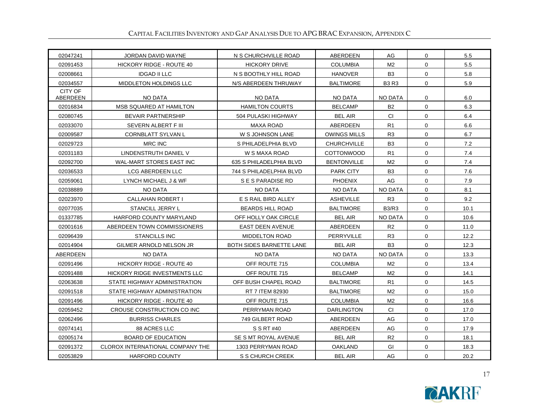| 02047241            | <b>JORDAN DAVID WAYNE</b>            | N S CHURCHVILLE ROAD     | ABERDEEN            | AG             | $\Omega$    | 5.5  |
|---------------------|--------------------------------------|--------------------------|---------------------|----------------|-------------|------|
| 02091453            | <b>HICKORY RIDGE - ROUTE 40</b>      | <b>HICKORY DRIVE</b>     | <b>COLUMBIA</b>     | M <sub>2</sub> | $\Omega$    | 5.5  |
| 02008661            | <b>IDGAD II LLC</b>                  | N S BOOTHLY HILL ROAD    | <b>HANOVER</b>      | B <sub>3</sub> | 0           | 5.8  |
| 02034557            | MIDDLETON HOLDINGS LLC               | N/S ABERDEEN THRUWAY     | <b>BALTIMORE</b>    | <b>B3 R3</b>   | $\Omega$    | 5.9  |
| CITY OF<br>ABERDEEN | NO DATA                              | <b>NO DATA</b>           | NO DATA             | NO DATA        | $\mathbf 0$ | 6.0  |
| 02016834            | MSB SQUARED AT HAMILTON              | <b>HAMILTON COURTS</b>   | <b>BELCAMP</b>      | <b>B2</b>      | $\Omega$    | 6.3  |
| 02080745            | <b>BEVAIR PARTNERSHIP</b>            | 504 PULASKI HIGHWAY      | <b>BEL AIR</b>      | CI.            | $\Omega$    | 6.4  |
| 02033070            | SEVERN ALBERT F III                  | <b>MAXA ROAD</b>         | ABERDEEN            | R <sub>1</sub> | $\mathbf 0$ | 6.6  |
| 02009587            | <b>CORNBLATT SYLVAN L</b>            | W S JOHNSON LANE         | <b>OWINGS MILLS</b> | R <sub>3</sub> | $\Omega$    | 6.7  |
| 02029723            | <b>MRC INC</b>                       | S PHILADELPHIA BLVD      | <b>CHURCHVILLE</b>  | B <sub>3</sub> | 0           | 7.2  |
| 02031183            | LINDENSTRUTH DANIEL V                | W S MAXA ROAD            | <b>COTTONWOOD</b>   | R <sub>1</sub> | 0           | 7.4  |
| 02092700            | <b>WAL-MART STORES EAST INC</b>      | 635 S PHILADELPHIA BLVD  | <b>BENTONVILLE</b>  | M <sub>2</sub> | $\Omega$    | 7.4  |
| 02036533            | LCG ABERDEEN LLC                     | 744 S PHILADELPHIA BLVD  | <b>PARK CITY</b>    | B <sub>3</sub> | $\Omega$    | 7.6  |
| 02059061            | LYNCH MICHAEL J & WF                 | S E S PARADISE RD        | <b>PHOENIX</b>      | AG             | $\mathbf 0$ | 7.9  |
| 02038889            | NO DATA                              | NO DATA                  | <b>NO DATA</b>      | <b>NO DATA</b> | $\mathbf 0$ | 8.1  |
| 02023970            | <b>CALLAHAN ROBERT I</b>             | E S RAIL BIRD ALLEY      | <b>ASHEVILLE</b>    | R <sub>3</sub> | $\Omega$    | 9.2  |
| 02077035            | <b>STANCILL JERRY L</b>              | <b>BEARDS HILL ROAD</b>  | <b>BALTIMORE</b>    | <b>B3/R3</b>   | $\Omega$    | 10.1 |
| 01337785            | <b>HARFORD COUNTY MARYLAND</b>       | OFF HOLLY OAK CIRCLE     | <b>BEL AIR</b>      | <b>NO DATA</b> | $\mathbf 0$ | 10.6 |
| 02001616            | ABERDEEN TOWN COMMISSIONERS          | <b>EAST DEEN AVENUE</b>  | ABERDEEN            | R <sub>2</sub> | $\Omega$    | 11.0 |
| 02096439            | <b>STANCILLS INC</b>                 | <b>MIDDELTON ROAD</b>    | <b>PERRYVILLE</b>   | R <sub>3</sub> | $\Omega$    | 12.2 |
| 02014904            | GILMER ARNOLD NELSON JR              | BOTH SIDES BARNETTE LANE | <b>BEL AIR</b>      | B <sub>3</sub> | $\Omega$    | 12.3 |
| ABERDEEN            | <b>NO DATA</b>                       | <b>NO DATA</b>           | <b>NO DATA</b>      | <b>NO DATA</b> | $\mathbf 0$ | 13.3 |
| 02091496            | <b>HICKORY RIDGE - ROUTE 40</b>      | OFF ROUTE 715            | <b>COLUMBIA</b>     | M <sub>2</sub> | 0           | 13.4 |
| 02091488            | <b>HICKORY RIDGE INVESTMENTS LLC</b> | OFF ROUTE 715            | <b>BELCAMP</b>      | M <sub>2</sub> | $\Omega$    | 14.1 |
| 02063638            | STATE HIGHWAY ADMINISTRATION         | OFF BUSH CHAPEL ROAD     | <b>BALTIMORE</b>    | R <sub>1</sub> | $\mathbf 0$ | 14.5 |
| 02091518            | STATE HIGHWAY ADMINISTRATION         | RT 7 ITEM 82930          | <b>BALTIMORE</b>    | M <sub>2</sub> | $\Omega$    | 15.0 |
| 02091496            | <b>HICKORY RIDGE - ROUTE 40</b>      | OFF ROUTE 715            | <b>COLUMBIA</b>     | M <sub>2</sub> | $\mathbf 0$ | 16.6 |
| 02059452            | CROUSE CONSTRUCTION CO INC           | PERRYMAN ROAD            | <b>DARLINGTON</b>   | <b>CI</b>      | $\mathbf 0$ | 17.0 |
| 02062496            | <b>BURRISS CHARLES</b>               | 749 GILBERT ROAD         | ABERDEEN            | AG             | $\mathbf 0$ | 17.0 |
| 02074141            | 88 ACRES LLC                         | S S RT #40               | ABERDEEN            | AG             | 0           | 17.9 |
| 02005174            | <b>BOARD OF EDUCATION</b>            | SE S MT ROYAL AVENUE     | <b>BEL AIR</b>      | R <sub>2</sub> | $\mathbf 0$ | 18.1 |
| 02091372            | CLOROX INTERNATIONAL COMPANY THE     | 1303 PERRYMAN ROAD       | <b>OAKLAND</b>      | GI             | $\mathbf 0$ | 18.3 |
| 02053829            | <b>HARFORD COUNTY</b>                | <b>S S CHURCH CREEK</b>  | <b>BEL AIR</b>      | AG             | $\Omega$    | 20.2 |

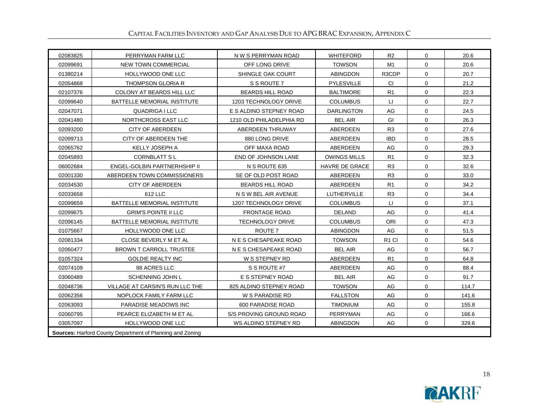| 02083825 | PERRYMAN FARM LLC                                                | N W S PERRYMAN ROAD          | <b>WHITEFORD</b>    | R <sub>2</sub>    | $\Omega$    | 20.6  |
|----------|------------------------------------------------------------------|------------------------------|---------------------|-------------------|-------------|-------|
| 02099691 | NEW TOWN COMMERCIAL                                              | OFF LONG DRIVE               | <b>TOWSON</b>       | M1                | $\mathbf 0$ | 20.6  |
| 01380214 | HOLLYWOOD ONE LLC                                                | SHINGLE OAK COURT            | <b>ABINGDON</b>     | R3CDP             | $\mathbf 0$ | 20.7  |
| 02054868 | <b>THOMPSON GLORIA R</b>                                         | S S ROUTE 7                  | <b>PYLESVILLE</b>   | CI.               | 0           | 21.2  |
| 02107376 | COLONY AT BEARDS HILL LLC                                        | <b>BEARDS HILL ROAD</b>      | <b>BALTIMORE</b>    | R <sub>1</sub>    | $\mathbf 0$ | 22.3  |
| 02099640 | BATTELLE MEMORIAL INSTITUTE                                      | 1203 TECHNOLOGY DRIVE        | <b>COLUMBUS</b>     | $\sqcup$          | $\mathbf 0$ | 22.7  |
| 02047071 | <b>QUADRIGA I LLC</b>                                            | E S ALDINO STEPNEY ROAD      | <b>DARLINGTON</b>   | AG                | 0           | 24.5  |
| 02041480 | NORTHCROSS EAST LLC                                              | 1210 OLD PHILADELPHIA RD     | <b>BEL AIR</b>      | GI                | $\mathbf 0$ | 26.3  |
| 02093200 | CITY OF ABERDEEN                                                 | ABERDEEN THRUWAY             | ABERDEEN            | R3                | 0           | 27.6  |
| 02099713 | CITY OF ABERDEEN THE                                             | 880 LONG DRIVE               | ABERDEEN            | <b>IBD</b>        | 0           | 28.5  |
| 02065762 | KELLY JOSEPH A                                                   | OFF MAXA ROAD                | ABERDEEN            | AG                | $\mathbf 0$ | 29.3  |
| 02045893 | <b>CORNBLATT SL</b>                                              | END OF JOHNSON LANE          | <b>OWINGS MILLS</b> | R <sub>1</sub>    | 0           | 32.3  |
| 06002684 | ENGEL-GOLBIN PARTNERHSHIP II                                     | N S ROUTE 635                | HAVRE DE GRACE      | R <sub>3</sub>    | $\mathbf 0$ | 32.6  |
| 02001330 | ABERDEEN TOWN COMMISSIONERS                                      | SE OF OLD POST ROAD          | ABERDEEN            | R <sub>3</sub>    | $\Omega$    | 33.0  |
| 02034530 | <b>CITY OF ABERDEEN</b>                                          | <b>BEARDS HILL ROAD</b>      | <b>ABERDEEN</b>     | R <sub>1</sub>    | 0           | 34.2  |
| 02033658 | 612 LLC                                                          | N S W BEL AIR AVENUE         | LUTHERVILLE         | R <sub>3</sub>    | $\mathbf 0$ | 34.4  |
| 02099659 | <b>BATTELLE MEMORIAL INSTITUTE</b>                               | <b>1207 TECHNOLOGY DRIVE</b> | <b>COLUMBUS</b>     | $\mathsf{L}$      | $\Omega$    | 37.1  |
| 02099675 | <b>GRIM'S POINTE II LLC</b>                                      | <b>FRONTAGE ROAD</b>         | <b>DELAND</b>       | AG                | $\mathbf 0$ | 41.4  |
| 02096145 | <b>BATTELLE MEMORIAL INSTITUTE</b>                               | <b>TECHNOLOGY DRIVE</b>      | <b>COLUMBUS</b>     | <b>ORI</b>        | $\mathbf 0$ | 47.3  |
| 01075667 | <b>HOLLYWOOD ONE LLC</b>                                         | ROUTE <sub>7</sub>           | <b>ABINGDON</b>     | AG                | $\mathbf 0$ | 51.5  |
| 02081334 | CLOSE BEVERLY M ET AL                                            | N E S CHESAPEAKE ROAD        | <b>TOWSON</b>       | R <sub>1</sub> CI | $\mathbf 0$ | 54.6  |
| 02060477 | <b>BROWN T CARROLL TRUSTEE</b>                                   | N E S CHESAPEAKE ROAD        | <b>BEL AIR</b>      | AG                | 0           | 56.7  |
| 01057324 | <b>GOLDIE REALTY INC</b>                                         | W S STEPNEY RD               | ABERDEEN            | R <sub>1</sub>    | 0           | 64.8  |
| 02074109 | 88 ACRES LLC                                                     | S S ROUTE #7                 | ABERDEEN            | AG                | 0           | 88.4  |
| 03060489 | SCHENNING JOHN L                                                 | E S STEPNEY ROAD             | <b>BEL AIR</b>      | AG                | 0           | 91.7  |
| 02048736 | VILLAGE AT CARSIN'S RUN LLC THE                                  | 825 ALDINO STEPNEY ROAD      | <b>TOWSON</b>       | AG                | 0           | 114.7 |
| 02062356 | NOPLOCK FAMILY FARM LLC                                          | W S PARADISE RD              | <b>FALLSTON</b>     | AG                | 0           | 141.6 |
| 02063093 | PARADISE MEADOWS INC                                             | 600 PARADISE ROAD            | <b>TIMONIUM</b>     | AG                | $\mathbf 0$ | 155.8 |
| 02060795 | PEARCE ELIZABETH M ET AL                                         | S/S PROVING GROUND ROAD      | <b>PERRYMAN</b>     | AG                | $\mathbf 0$ | 166.6 |
| 03057097 | HOLLYWOOD ONE LLC                                                | WS ALDINO STEPNEY RD         | <b>ABINGDON</b>     | AG                | $\mathbf 0$ | 329.6 |
|          | <b>Sources: Harford County Department of Planning and Zoning</b> |                              |                     |                   |             |       |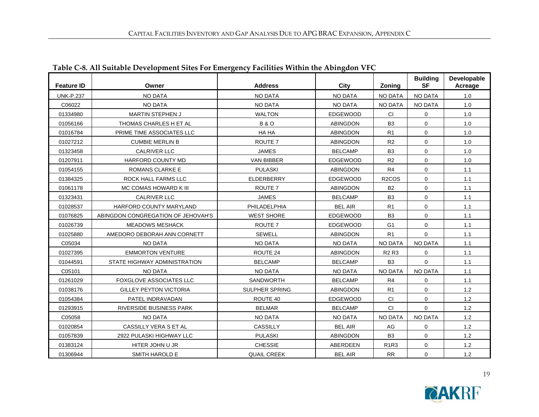| <b>Feature ID</b> | Owner                              | <b>Address</b>        | City            | Zoning                         | <b>Building</b><br><b>SF</b> | Developable<br>Acreage |
|-------------------|------------------------------------|-----------------------|-----------------|--------------------------------|------------------------------|------------------------|
| <b>UNK-P.237</b>  | <b>NO DATA</b>                     | <b>NO DATA</b>        | <b>NO DATA</b>  | <b>NO DATA</b>                 | NO DATA                      | 1.0                    |
| C06022            | <b>NO DATA</b>                     | <b>NO DATA</b>        | <b>NO DATA</b>  | <b>NO DATA</b>                 | <b>NO DATA</b>               | 1.0                    |
| 01334980          | MARTIN STEPHEN J                   | <b>WALTON</b>         | <b>EDGEWOOD</b> | CI                             | $\mathbf 0$                  | 1.0                    |
| 01056166          | THOMAS CHARLES H ET AL             | <b>B&amp;O</b>        | <b>ABINGDON</b> | B <sub>3</sub>                 | 0                            | 1.0                    |
| 01016784          | PRIME TIME ASSOCIATES LLC          | HA HA                 | <b>ABINGDON</b> | R <sub>1</sub>                 | $\mathbf 0$                  | 1.0                    |
| 01027212          | <b>CUMBIE MERLIN B</b>             | <b>ROUTE 7</b>        | <b>ABINGDON</b> | R <sub>2</sub>                 | 0                            | 1.0                    |
| 01323458          | <b>CALRIVER LLC</b>                | <b>JAMES</b>          | <b>BELCAMP</b>  | B <sub>3</sub>                 | $\mathbf 0$                  | 1.0                    |
| 01207911          | <b>HARFORD COUNTY MD</b>           | <b>VAN BIBBER</b>     | <b>EDGEWOOD</b> | R <sub>2</sub>                 | 0                            | 1.0                    |
| 01054155          | <b>ROMANS CLARKE E</b>             | <b>PULASKI</b>        | <b>ABINGDON</b> | R <sub>4</sub>                 | $\mathbf 0$                  | 1.1                    |
| 01384325          | ROCK HALL FARMS LLC                | ELDERBERRY            | <b>EDGEWOOD</b> | R <sub>2</sub> CO <sub>S</sub> | $\Omega$                     | 1.1                    |
| 01061178          | MC COMAS HOWARD K III              | ROUTE <sub>7</sub>    | <b>ABINGDON</b> | <b>B2</b>                      | 0                            | 1.1                    |
| 01323431          | <b>CALRIVER LLC</b>                | <b>JAMES</b>          | <b>BELCAMP</b>  | B <sub>3</sub>                 | $\mathbf 0$                  | 1.1                    |
| 01028537          | HARFORD COUNTY MARYLAND            | PHILADELPHIA          | <b>BEL AIR</b>  | R <sub>1</sub>                 | 0                            | 1.1                    |
| 01076825          | ABINGDON CONGREGATION OF JEHOVAH'S | <b>WEST SHORE</b>     | <b>EDGEWOOD</b> | B <sub>3</sub>                 | $\mathbf 0$                  | 1.1                    |
| 01026739          | <b>MEADOWS MESHACK</b>             | ROUTE <sub>7</sub>    | <b>EDGEWOOD</b> | G <sub>1</sub>                 | 0                            | $1.1$                  |
| 01025880          | AMEDORO DEBORAH ANN CORNETT        | <b>SEWELL</b>         | <b>ABINGDON</b> | R <sub>1</sub>                 | $\Omega$                     | 1.1                    |
| C05034            | <b>NO DATA</b>                     | <b>NO DATA</b>        | <b>NO DATA</b>  | <b>NO DATA</b>                 | <b>NO DATA</b>               | 1.1                    |
| 01027395          | <b>EMMORTON VENTURE</b>            | ROUTE 24              | <b>ABINGDON</b> | <b>R2 R3</b>                   | $\Omega$                     | $1.1$                  |
| 01044591          | STATE HIGHWAY ADMINISTRATION       | <b>BELCAMP</b>        | <b>BELCAMP</b>  | B <sub>3</sub>                 | $\Omega$                     | 1.1                    |
| C05101            | <b>NO DATA</b>                     | <b>NO DATA</b>        | <b>NO DATA</b>  | <b>NO DATA</b>                 | NO DATA                      | 1.1                    |
| 01261029          | <b>FOXGLOVE ASSOCIATES LLC</b>     | <b>SANDWORTH</b>      | <b>BELCAMP</b>  | R4                             | $\mathbf 0$                  | 1.1                    |
| 01038176          | <b>GILLEY PEYTON VICTORIA</b>      | <b>SULPHER SPRING</b> | <b>ABINGDON</b> | R <sub>1</sub>                 | $\Omega$                     | 1.2                    |
| 01054384          | PATEL INDRAVADAN                   | ROUTE 40              | <b>EDGEWOOD</b> | <b>CI</b>                      | $\mathbf 0$                  | 1.2                    |
| 01293915          | <b>RIVERSIDE BUSINESS PARK</b>     | <b>BELMAR</b>         | <b>BELCAMP</b>  | CI                             | $\Omega$                     | $1.2$                  |
| C05058            | <b>NO DATA</b>                     | <b>NO DATA</b>        | <b>NO DATA</b>  | NO DATA                        | NO DATA                      | $1.2$                  |
| 01020854          | CASSILLY VERA S ET AL              | <b>CASSILLY</b>       | <b>BEL AIR</b>  | AG                             | $\Omega$                     | 1.2                    |
| 01057839          | 2922 PULASKI HIGHWAY LLC           | <b>PULASKI</b>        | <b>ABINGDON</b> | B <sub>3</sub>                 | $\mathbf 0$                  | 1.2                    |
| 01383124          | HITER JOHN U JR                    | <b>CHESSIE</b>        | ABERDEEN        | R <sub>1</sub> R <sub>3</sub>  | $\mathbf 0$                  | 1.2                    |
| 01306944          | SMITH HAROLD E                     | <b>QUAIL CREEK</b>    | <b>BEL AIR</b>  | <b>RR</b>                      | 0                            | $1.2$                  |

**Table C‐8. All Suitable Development Sites For Emergency Facilities Within the Abingdon VFC**

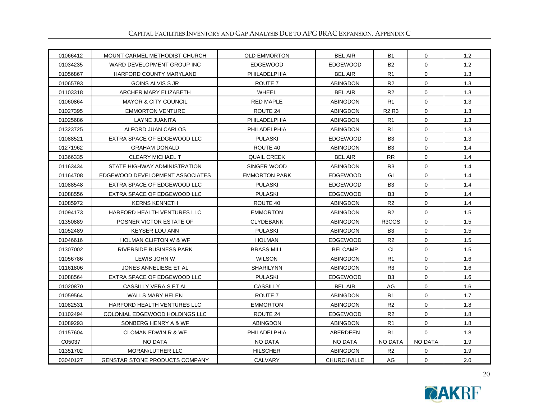| 01066412 | MOUNT CARMEL METHODIST CHURCH         | <b>OLD EMMORTON</b>  | <b>BEL AIR</b>     | <b>B1</b>                      | $\mathbf{0}$ | 1.2   |
|----------|---------------------------------------|----------------------|--------------------|--------------------------------|--------------|-------|
| 01034235 | WARD DEVELOPMENT GROUP INC            | <b>EDGEWOOD</b>      | <b>EDGEWOOD</b>    | <b>B2</b>                      | 0            | $1.2$ |
| 01056867 | HARFORD COUNTY MARYLAND               | PHILADELPHIA         | <b>BEL AIR</b>     | R <sub>1</sub>                 | $\mathbf{0}$ | 1.3   |
| 01065793 | GOINS ALVIS S JR                      | ROUTE <sub>7</sub>   | <b>ABINGDON</b>    | R <sub>2</sub>                 | 0            | 1.3   |
| 01103318 | ARCHER MARY ELIZABETH                 | WHEEL                | <b>BEL AIR</b>     | R <sub>2</sub>                 | $\mathbf 0$  | 1.3   |
| 01060864 | <b>MAYOR &amp; CITY COUNCIL</b>       | <b>RED MAPLE</b>     | ABINGDON           | R <sub>1</sub>                 | $\mathbf 0$  | 1.3   |
| 01027395 | <b>EMMORTON VENTURE</b>               | ROUTE 24             | <b>ABINGDON</b>    | <b>R2 R3</b>                   | 0            | 1.3   |
| 01025686 | LAYNE JUANITA                         | PHILADELPHIA         | <b>ABINGDON</b>    | R <sub>1</sub>                 | $\mathbf{0}$ | 1.3   |
| 01323725 | ALFORD JUAN CARLOS                    | PHILADELPHIA         | <b>ABINGDON</b>    | R1                             | $\mathbf 0$  | 1.3   |
| 01088521 | EXTRA SPACE OF EDGEWOOD LLC           | PULASKI              | <b>EDGEWOOD</b>    | B <sub>3</sub>                 | $\mathbf 0$  | 1.3   |
| 01271962 | <b>GRAHAM DONALD</b>                  | ROUTE 40             | ABINGDON           | B <sub>3</sub>                 | $\mathbf 0$  | 1.4   |
| 01366335 | <b>CLEARY MICHAEL T</b>               | <b>QUAIL CREEK</b>   | <b>BEL AIR</b>     | <b>RR</b>                      | 0            | 1.4   |
| 01163434 | STATE HIGHWAY ADMINISTRATION          | SINGER WOOD          | ABINGDON           | R <sub>3</sub>                 | $\mathsf{O}$ | 1.4   |
| 01164708 | EDGEWOOD DEVELOPMENT ASSOCIATES       | <b>EMMORTON PARK</b> | <b>EDGEWOOD</b>    | GI                             | 0            | 1.4   |
| 01088548 | EXTRA SPACE OF EDGEWOOD LLC           | <b>PULASKI</b>       | <b>EDGEWOOD</b>    | B <sub>3</sub>                 | 0            | 1.4   |
| 01088556 | EXTRA SPACE OF EDGEWOOD LLC           | <b>PULASKI</b>       | <b>EDGEWOOD</b>    | B <sub>3</sub>                 | $\mathsf{O}$ | 1.4   |
| 01085972 | <b>KERNS KENNETH</b>                  | ROUTE 40             | <b>ABINGDON</b>    | R <sub>2</sub>                 | $\mathbf 0$  | 1.4   |
| 01094173 | HARFORD HEALTH VENTURES LLC           | <b>EMMORTON</b>      | <b>ABINGDON</b>    | R <sub>2</sub>                 | 0            | 1.5   |
| 01350889 | POSNER VICTOR ESTATE OF               | <b>CLYDEBANK</b>     | ABINGDON           | R <sub>3</sub> CO <sub>S</sub> | 0            | 1.5   |
| 01052489 | <b>KEYSER LOU ANN</b>                 | <b>PULASKI</b>       | ABINGDON           | B <sub>3</sub>                 | 0            | 1.5   |
| 01046616 | <b>HOLMAN CLIFTON W &amp; WF</b>      | <b>HOLMAN</b>        | <b>EDGEWOOD</b>    | R <sub>2</sub>                 | $\mathbf 0$  | 1.5   |
| 01307002 | RIVERSIDE BUSINESS PARK               | <b>BRASS MILL</b>    | <b>BELCAMP</b>     | <b>CI</b>                      | $\mathbf 0$  | 1.5   |
| 01056786 | LEWIS JOHN W                          | <b>WILSON</b>        | ABINGDON           | R <sub>1</sub>                 | 0            | 1.6   |
| 01161806 | JONES ANNELIESE ET AL                 | <b>SHARILYNN</b>     | <b>ABINGDON</b>    | R <sub>3</sub>                 | $\Omega$     | 1.6   |
| 01088564 | EXTRA SPACE OF EDGEWOOD LLC           | <b>PULASKI</b>       | <b>EDGEWOOD</b>    | B3                             | 0            | 1.6   |
| 01020870 | CASSILLY VERA S ET AL                 | CASSILLY             | <b>BEL AIR</b>     | AG                             | 0            | 1.6   |
| 01059564 | <b>WALLS MARY HELEN</b>               | ROUTE <sub>7</sub>   | <b>ABINGDON</b>    | R <sub>1</sub>                 | $\mathbf 0$  | 1.7   |
| 01082531 | HARFORD HEALTH VENTURES LLC           | <b>EMMORTON</b>      | <b>ABINGDON</b>    | R <sub>2</sub>                 | $\mathbf 0$  | 1.8   |
| 01102494 | COLONIAL EDGEWOOD HOLDINGS LLC        | ROUTE 24             | <b>EDGEWOOD</b>    | R <sub>2</sub>                 | 0            | 1.8   |
| 01089293 | SONBERG HENRY A & WF                  | ABINGDON             | ABINGDON           | R <sub>1</sub>                 | 0            | 1.8   |
| 01157604 | <b>CLOMAN EDWIN R &amp; WF</b>        | PHILADELPHIA         | ABERDEEN           | R1                             | 0            | 1.8   |
| C05037   | NO DATA                               | <b>NO DATA</b>       | NO DATA            | <b>NO DATA</b>                 | NO DATA      | 1.9   |
| 01351702 | <b>MORAN/LUTHER LLC</b>               | <b>HILSCHER</b>      | ABINGDON           | R <sub>2</sub>                 | 0            | 1.9   |
| 03040127 | <b>GENSTAR STONE PRODUCTS COMPANY</b> | <b>CALVARY</b>       | <b>CHURCHVILLE</b> | AG                             | $\mathbf{0}$ | 2.0   |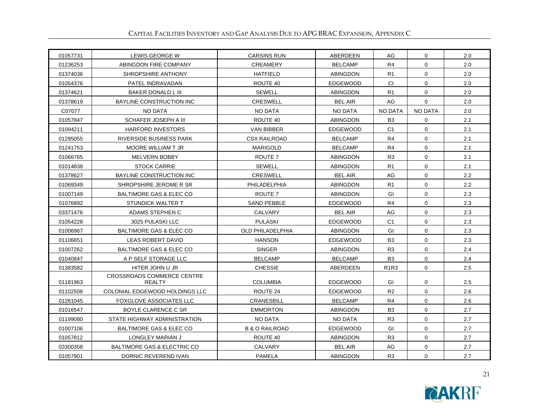| 01057731 | LEWIS GEORGE W                                     | <b>CARSINS RUN</b>        | <b>ABERDEEN</b> | AG             | $\Omega$    | 2.0 |
|----------|----------------------------------------------------|---------------------------|-----------------|----------------|-------------|-----|
| 01236253 | ABINGDON FIRE COMPANY                              | <b>CREAMERY</b>           | <b>BELCAMP</b>  | R <sub>4</sub> | $\mathbf 0$ | 2.0 |
| 01374036 | SHROPSHIRE ANTHONY                                 | <b>HATFIELD</b>           | ABINGDON        | R1             | $\mathbf 0$ | 2.0 |
| 01054376 | PATEL INDRAVADAN                                   | ROUTE 40                  | <b>EDGEWOOD</b> | <b>CI</b>      | $\mathbf 0$ | 2.0 |
| 01374621 | <b>BAKER DONALD L III</b>                          | <b>SEWELL</b>             | <b>ABINGDON</b> | R <sub>1</sub> | $\mathbf 0$ | 2.0 |
| 01378619 | <b>BAYLINE CONSTRUCTION INC</b>                    | <b>CRESWELL</b>           | <b>BEL AIR</b>  | AG             | $\mathbf 0$ | 2.0 |
| C07077   | NO DATA                                            | NO DATA                   | NO DATA         | NO DATA        | NO DATA     | 2.0 |
| 01057847 | SCHAFER JOSEPH A III                               | ROUTE 40                  | <b>ABINGDON</b> | B <sub>3</sub> | 0           | 2.1 |
| 01094211 | <b>HARFORD INVESTORS</b>                           | VAN BIBBER                | EDGEWOOD        | C <sub>1</sub> | $\mathbf 0$ | 2.1 |
| 01295055 | RIVERSIDE BUSINESS PARK                            | <b>CSX RAILROAD</b>       | <b>BELCAMP</b>  | R4             | $\mathbf 0$ | 2.1 |
| 01241753 | MOORE WILLIAM T JR                                 | <b>MARIGOLD</b>           | <b>BELCAMP</b>  | R <sub>4</sub> | $\mathbf 0$ | 2.1 |
| 01066765 | <b>MELVERN BOBBY</b>                               | ROUTE <sub>7</sub>        | <b>ABINGDON</b> | R <sub>3</sub> | $\mathbf 0$ | 2.1 |
| 01014838 | <b>STOCK CARRIE</b>                                | <b>SEWELL</b>             | <b>ABINGDON</b> | R <sub>1</sub> | 0           | 2.1 |
| 01378627 | <b>BAYLINE CONSTRUCTION INC</b>                    | <b>CRESWELL</b>           | <b>BEL AIR</b>  | AG             | $\mathbf 0$ | 2.2 |
| 01069349 | SHROPSHIRE JEROME R SR                             | PHILADELPHIA              | <b>ABINGDON</b> | R1             | $\mathbf 0$ | 2.2 |
| 01007149 | BALTIMORE GAS & ELEC CO                            | ROUTE <sub>7</sub>        | <b>ABINGDON</b> | GI             | $\mathbf 0$ | 2.3 |
| 01076892 | STUNDICK WALTER T                                  | <b>SAND PEBBLE</b>        | <b>EDGEWOOD</b> | R4             | $\mathbf 0$ | 2.3 |
| 03371476 | ADAMS STEPHEN C                                    | <b>CALVARY</b>            | <b>BEL AIR</b>  | AG             | $\mathbf 0$ | 2.3 |
| 01054228 | 3025 PULASKI LLC                                   | <b>PULASKI</b>            | <b>EDGEWOOD</b> | C <sub>1</sub> | $\mathbf 0$ | 2.3 |
| 01006967 | BALTIMORE GAS & ELEC CO                            | <b>OLD PHILADELPHIA</b>   | <b>ABINGDON</b> | GI             | 0           | 2.3 |
| 01106651 | LEAS ROBERT DAVID                                  | <b>HANSON</b>             | <b>EDGEWOOD</b> | B <sub>3</sub> | $\mathbf 0$ | 2.3 |
| 01007262 | BALTIMORE GAS & ELEC CO                            | <b>SINGER</b>             | <b>ABINGDON</b> | R <sub>3</sub> | $\mathbf 0$ | 2.4 |
| 01040847 | A P SELF STORAGE LLC                               | <b>BELCAMP</b>            | <b>BELCAMP</b>  | B3             | $\mathbf 0$ | 2.4 |
| 01383582 | HITER JOHN U JR                                    | <b>CHESSIE</b>            | ABERDEEN        | <b>R1R3</b>    | $\mathbf 0$ | 2.5 |
| 01181963 | <b>CROSSROADS COMMERCE CENTRE</b><br><b>REALTY</b> | <b>COLUMBIA</b>           | EDGEWOOD        | GI             | $\mathbf 0$ | 2.5 |
| 01102508 | COLONIAL EDGEWOOD HOLDINGS LLC                     | ROUTE 24                  | <b>EDGEWOOD</b> | R <sub>2</sub> | $\Omega$    | 2.6 |
| 01261045 | <b>FOXGLOVE ASSOCIATES LLC</b>                     | <b>CRANESBILL</b>         | <b>BELCAMP</b>  | R <sub>4</sub> | $\mathbf 0$ | 2.6 |
| 01016547 | <b>BOYLE CLARENCE C SR</b>                         | <b>EMMORTON</b>           | <b>ABINGDON</b> | B <sub>3</sub> | $\mathbf 0$ | 2.7 |
| 01199080 | STATE HIGHWAY ADMINISTRATION                       | NO DATA                   | NO DATA         | R <sub>3</sub> | $\mathbf 0$ | 2.7 |
| 01007106 | <b>BALTIMORE GAS &amp; ELEC CO</b>                 | <b>B &amp; O RAILROAD</b> | <b>EDGEWOOD</b> | GI             | $\mathbf 0$ | 2.7 |
| 01057812 | LONGLEY MARIAN J                                   | ROUTE 40                  | <b>ABINGDON</b> | R <sub>3</sub> | 0           | 2.7 |
| 03300358 | <b>BALTIMORE GAS &amp; ELECTRIC CO</b>             | <b>CALVARY</b>            | <b>BEL AIR</b>  | AG             | 0           | 2.7 |
| 01057901 | DORNIC REVEREND IVAN                               | <b>PAMELA</b>             | <b>ABINGDON</b> | R <sub>3</sub> | $\mathbf 0$ | 2.7 |

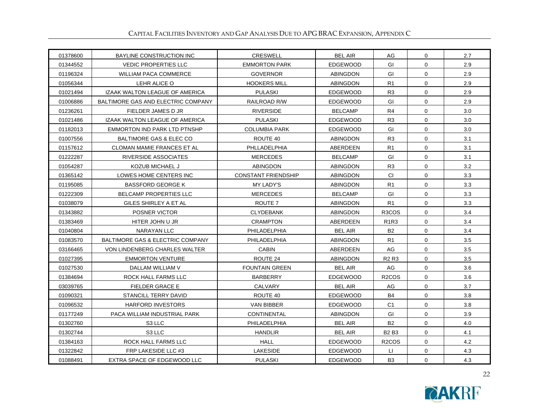| 01378600 | <b>BAYLINE CONSTRUCTION INC</b>     | <b>CRESWELL</b>            | <b>BEL AIR</b>  | AG                             | $\mathbf{0}$ | 2.7 |
|----------|-------------------------------------|----------------------------|-----------------|--------------------------------|--------------|-----|
| 01344552 | <b>VEDIC PROPERTIES LLC</b>         | <b>EMMORTON PARK</b>       | <b>EDGEWOOD</b> | GI                             | 0            | 2.9 |
| 01196324 | <b>WILLIAM PACA COMMERCE</b>        | <b>GOVERNOR</b>            | ABINGDON        | GI                             | 0            | 2.9 |
| 01056344 | LEHR ALICE O                        | <b>HOOKERS MILL</b>        | ABINGDON        | R <sub>1</sub>                 | 0            | 2.9 |
| 01021494 | IZAAK WALTON LEAGUE OF AMERICA      | <b>PULASKI</b>             | <b>EDGEWOOD</b> | R <sub>3</sub>                 | $\mathbf 0$  | 2.9 |
| 01006886 | BALTIMORE GAS AND ELECTRIC COMPANY  | RAILROAD R/W               | <b>EDGEWOOD</b> | GI                             | $\mathbf 0$  | 2.9 |
| 01236261 | FIELDER JAMES D JR                  | <b>RIVERSIDE</b>           | <b>BELCAMP</b>  | R4                             | $\mathbf 0$  | 3.0 |
| 01021486 | IZAAK WALTON LEAGUE OF AMERICA      | PULASKI                    | <b>EDGEWOOD</b> | R3                             | 0            | 3.0 |
| 01182013 | <b>EMMORTON IND PARK LTD PTNSHP</b> | <b>COLUMBIA PARK</b>       | <b>EDGEWOOD</b> | GI                             | $\mathbf 0$  | 3.0 |
| 01007556 | BALTIMORE GAS & ELEC CO             | ROUTE 40                   | ABINGDON        | R <sub>3</sub>                 | $\mathbf 0$  | 3.1 |
| 01157612 | <b>CLOMAN MAMIE FRANCES ET AL</b>   | PHLLADELPHIA               | ABERDEEN        | R1                             | $\mathbf{0}$ | 3.1 |
| 01222287 | RIVERSIDE ASSOCIATES                | <b>MERCEDES</b>            | <b>BELCAMP</b>  | GI                             | 0            | 3.1 |
| 01054287 | KOZUB MICHAEL J                     | ABINGDON                   | ABINGDON        | R <sub>3</sub>                 | $\mathsf{O}$ | 3.2 |
| 01365142 | LOWES HOME CENTERS INC              | <b>CONSTANT FRIENDSHIP</b> | ABINGDON        | CI.                            | 0            | 3.3 |
| 01195085 | <b>BASSFORD GEORGE K</b>            | MY LADY'S                  | ABINGDON        | R <sub>1</sub>                 | $\mathbf 0$  | 3.3 |
| 01222309 | <b>BELCAMP PROPERTIES LLC</b>       | <b>MERCEDES</b>            | <b>BELCAMP</b>  | GI                             | $\mathbf 0$  | 3.3 |
| 01038079 | GILES SHIRLEY A ET AL               | ROUTE <sub>7</sub>         | <b>ABINGDON</b> | R <sub>1</sub>                 | $\mathbf 0$  | 3.3 |
| 01343882 | POSNER VICTOR                       | <b>CLYDEBANK</b>           | ABINGDON        | R3COS                          | 0            | 3.4 |
| 01383469 | HITER JOHN U JR                     | <b>CRAMPTON</b>            | ABERDEEN        | R <sub>1</sub> R <sub>3</sub>  | $\mathbf{0}$ | 3.4 |
| 01040804 | NARAYAN LLC                         | PHILADELPHIA               | <b>BEL AIR</b>  | <b>B2</b>                      | 0            | 3.4 |
| 01083570 | BALTIMORE GAS & ELECTRIC COMPANY    | PHILADELPHIA               | ABINGDON        | R1                             | $\mathbf{0}$ | 3.5 |
| 03166465 | VON LINDENBERG CHARLES WALTER       | <b>CABIN</b>               | ABERDEEN        | AG                             | $\mathbf 0$  | 3.5 |
| 01027395 | <b>EMMORTON VENTURE</b>             | ROUTE 24                   | ABINGDON        | <b>R2 R3</b>                   | $\mathbf 0$  | 3.5 |
| 01027530 | DALLAM WILLIAM V                    | <b>FOUNTAIN GREEN</b>      | <b>BEL AIR</b>  | AG                             | $\Omega$     | 3.6 |
| 01384694 | ROCK HALL FARMS LLC                 | <b>BARBERRY</b>            | <b>EDGEWOOD</b> | R <sub>2</sub> CO <sub>S</sub> | 0            | 3.6 |
| 03039765 | FIELDER GRACE E                     | CALVARY                    | BEL AIR         | AG                             | 0            | 3.7 |
| 01090321 | STANCILL TERRY DAVID                | ROUTE 40                   | <b>EDGEWOOD</b> | <b>B4</b>                      | $\mathbf 0$  | 3.8 |
| 01096532 | <b>HARFORD INVESTORS</b>            | VAN BIBBER                 | <b>EDGEWOOD</b> | C <sub>1</sub>                 | $\mathbf 0$  | 3.8 |
| 01177249 | PACA WILLIAM INDUSTRIAL PARK        | CONTINENTAL                | <b>ABINGDON</b> | GI                             | 0            | 3.9 |
| 01302760 | S3 LLC                              | PHILADELPHIA               | <b>BEL AIR</b>  | <b>B2</b>                      | $\mathbf 0$  | 4.0 |
| 01302744 | S3 LLC                              | <b>HANDLIR</b>             | BEL AIR         | <b>B2B3</b>                    | 0            | 4.1 |
| 01384163 | ROCK HALL FARMS LLC                 | HALL                       | <b>EDGEWOOD</b> | R <sub>2</sub> CO <sub>S</sub> | $\mathbf 0$  | 4.2 |
| 01322842 | FRP LAKESIDE LLC #3                 | <b>LAKESIDE</b>            | <b>EDGEWOOD</b> | LI.                            | $\mathbf 0$  | 4.3 |
| 01088491 | EXTRA SPACE OF EDGEWOOD LLC         | <b>PULASKI</b>             | <b>EDGEWOOD</b> | B3                             | $\Omega$     | 4.3 |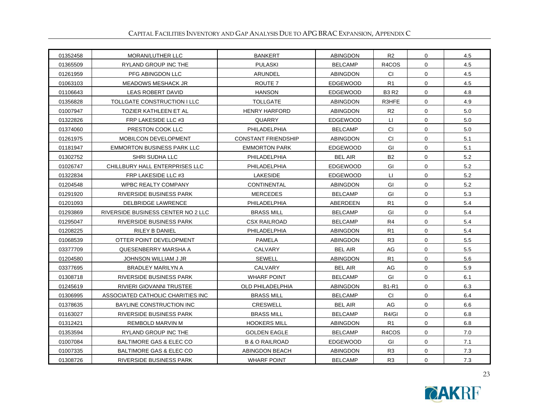| 01352458 | MORAN/LUTHER LLC                   | <b>BANKERT</b>             | ABINGDON        | R <sub>2</sub> | $\mathbf{0}$ | 4.5 |
|----------|------------------------------------|----------------------------|-----------------|----------------|--------------|-----|
| 01365509 | RYLAND GROUP INC THE               | <b>PULASKI</b>             | <b>BELCAMP</b>  | R4COS          | $\mathbf 0$  | 4.5 |
| 01261959 | PFG ABINGDON LLC                   | <b>ARUNDEL</b>             | ABINGDON        | СI             | $\mathbf 0$  | 4.5 |
| 01063103 | <b>MEADOWS MESHACK JR</b>          | ROUTE <sub>7</sub>         | <b>EDGEWOOD</b> | R <sub>1</sub> | $\mathbf 0$  | 4.5 |
| 01106643 | LEAS ROBERT DAVID                  | <b>HANSON</b>              | <b>EDGEWOOD</b> | <b>B3 R2</b>   | $\mathbf 0$  | 4.8 |
| 01356828 | TOLLGATE CONSTRUCTION I LLC        | <b>TOLLGATE</b>            | <b>ABINGDON</b> | R3HFE          | $\mathbf 0$  | 4.9 |
| 01007947 | TOZIER KATHLEEN ET AL              | <b>HENRY HARFORD</b>       | <b>ABINGDON</b> | R <sub>2</sub> | $\mathbf 0$  | 5.0 |
| 01322826 | FRP LAKESIDE LLC #3                | <b>QUARRY</b>              | <b>EDGEWOOD</b> | $\mathsf{L}$   | $\mathbf 0$  | 5.0 |
| 01374060 | PRESTON COOK LLC                   | PHILADELPHIA               | <b>BELCAMP</b>  | <b>CI</b>      | $\mathbf 0$  | 5.0 |
| 01261975 | <b>MOBILCON DEVELOPMENT</b>        | <b>CONSTANT FRIENDSHIP</b> | <b>ABINGDON</b> | СI             | $\mathbf 0$  | 5.1 |
| 01181947 | <b>EMMORTON BUSINESS PARK LLC</b>  | <b>EMMORTON PARK</b>       | <b>EDGEWOOD</b> | GI             | $\mathbf 0$  | 5.1 |
| 01302752 | SHRI SUDHA LLC                     | PHILADELPHIA               | <b>BEL AIR</b>  | <b>B2</b>      | $\mathbf 0$  | 5.2 |
| 01026747 | CHILLBURY HALL ENTERPRISES LLC     | PHILADELPHIA               | <b>EDGEWOOD</b> | GI             | $\mathbf 0$  | 5.2 |
| 01322834 | FRP LAKESIDE LLC #3                | LAKESIDE                   | <b>EDGEWOOD</b> | LI.            | $\mathbf 0$  | 5.2 |
| 01204548 | WPBC REALTY COMPANY                | <b>CONTINENTAL</b>         | <b>ABINGDON</b> | GI             | $\mathbf 0$  | 5.2 |
| 01291920 | <b>RIVERSIDE BUSINESS PARK</b>     | <b>MERCEDES</b>            | <b>BELCAMP</b>  | GI             | $\mathbf 0$  | 5.3 |
| 01201093 | <b>DELBRIDGE LAWRENCE</b>          | PHILADELPHIA               | ABERDEEN        | R <sub>1</sub> | $\mathbf 0$  | 5.4 |
| 01293869 | RIVERSIDE BUSINESS CENTER NO 2 LLC | <b>BRASS MILL</b>          | <b>BELCAMP</b>  | GI             | $\mathbf 0$  | 5.4 |
| 01295047 | RIVERSIDE BUSINESS PARK            | <b>CSX RAILROAD</b>        | <b>BELCAMP</b>  | R <sub>4</sub> | $\mathbf 0$  | 5.4 |
| 01208225 | RILEY B DANIEL                     | PHILADELPHIA               | ABINGDON        | R1             | $\mathbf 0$  | 5.4 |
| 01068539 | OTTER POINT DEVELOPMENT            | PAMELA                     | ABINGDON        | R <sub>3</sub> | $\mathbf 0$  | 5.5 |
| 03377709 | QUESENBERRY MARSHA A               | <b>CALVARY</b>             | <b>BEL AIR</b>  | AG             | $\Omega$     | 5.5 |
| 01204580 | JOHNSON WILLIAM J JR               | <b>SEWELL</b>              | <b>ABINGDON</b> | R1             | $\mathbf 0$  | 5.6 |
| 03377695 | <b>BRADLEY MARILYN A</b>           | <b>CALVARY</b>             | <b>BEL AIR</b>  | AG             | $\Omega$     | 5.9 |
| 01308718 | RIVERSIDE BUSINESS PARK            | <b>WHARF POINT</b>         | <b>BELCAMP</b>  | GI             | $\mathbf 0$  | 6.1 |
| 01245619 | <b>RIVIERI GIOVANNI TRUSTEE</b>    | <b>OLD PHILADELPHIA</b>    | ABINGDON        | B1-R1          | $\mathbf 0$  | 6.3 |
| 01306995 | ASSOCIATED CATHOLIC CHARITIES INC  | <b>BRASS MILL</b>          | <b>BELCAMP</b>  | <b>CI</b>      | $\mathbf 0$  | 6.4 |
| 01378635 | BAYLINE CONSTRUCTION INC           | <b>CRESWELL</b>            | <b>BEL AIR</b>  | AG             | $\mathbf 0$  | 6.6 |
| 01163027 | RIVERSIDE BUSINESS PARK            | <b>BRASS MILL</b>          | <b>BELCAMP</b>  | R4/GI          | $\mathbf 0$  | 6.8 |
| 01312421 | REMBOLD MARVIN M                   | <b>HOOKERS MILL</b>        | ABINGDON        | R <sub>1</sub> | $\mathbf 0$  | 6.8 |
| 01353594 | RYLAND GROUP INC THE               | <b>GOLDEN EAGLE</b>        | <b>BELCAMP</b>  | R4COS          | 0            | 7.0 |
| 01007084 | BALTIMORE GAS & ELEC CO            | <b>B &amp; O RAILROAD</b>  | EDGEWOOD        | GI             | $\mathbf 0$  | 7.1 |
| 01007335 | BALTIMORE GAS & ELEC CO            | ABINGDON BEACH             | <b>ABINGDON</b> | R <sub>3</sub> | $\mathbf 0$  | 7.3 |
| 01308726 | RIVERSIDE BUSINESS PARK            | <b>WHARF POINT</b>         | <b>BELCAMP</b>  | R <sub>3</sub> | $\mathbf 0$  | 7.3 |

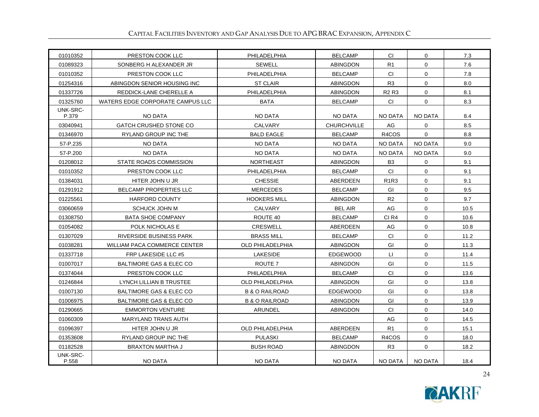| 01010352          | PRESTON COOK LLC                   | PHILADELPHIA              | <b>BELCAMP</b>     | CI                             | $\mathbf{0}$   | 7.3  |
|-------------------|------------------------------------|---------------------------|--------------------|--------------------------------|----------------|------|
| 01089323          | SONBERG H ALEXANDER JR             | <b>SEWELL</b>             | <b>ABINGDON</b>    | R <sub>1</sub>                 | $\Omega$       | 7.6  |
| 01010352          | PRESTON COOK LLC                   | PHILADELPHIA              | <b>BELCAMP</b>     | CI                             | 0              | 7.8  |
| 01254316          | ABINGDON SENIOR HOUSING INC        | <b>ST CLAIR</b>           | <b>ABINGDON</b>    | R <sub>3</sub>                 | $\mathbf 0$    | 8.0  |
| 01337726          | REDDICK-LANE CHERELLE A            | PHILADELPHIA              | <b>ABINGDON</b>    | <b>R2 R3</b>                   | $\mathbf 0$    | 8.1  |
| 01325760          | WATERS EDGE CORPORATE CAMPUS LLC   | <b>BATA</b>               | <b>BELCAMP</b>     | <b>CI</b>                      | $\mathbf{0}$   | 8.3  |
| UNK-SRC-<br>P.379 | NO DATA                            | NO DATA                   | NO DATA            | NO DATA                        | NO DATA        | 8.4  |
| 03040941          | GATCH CRUSHED STONE CO             | <b>CALVARY</b>            | <b>CHURCHVILLE</b> | AG                             | 0              | 8.5  |
| 01346970          | RYLAND GROUP INC THE               | <b>BALD EAGLE</b>         | <b>BELCAMP</b>     | R <sub>4</sub> CO <sub>S</sub> | 0              | 8.8  |
| 57-P.235          | NO DATA                            | NO DATA                   | NO DATA            | NO DATA                        | <b>NO DATA</b> | 9.0  |
| 57-P.200          | <b>NO DATA</b>                     | <b>NO DATA</b>            | <b>NO DATA</b>     | <b>NO DATA</b>                 | <b>NO DATA</b> | 9.0  |
| 01208012          | STATE ROADS COMMISSION             | <b>NORTHEAST</b>          | <b>ABINGDON</b>    | B <sub>3</sub>                 | $\Omega$       | 9.1  |
| 01010352          | PRESTON COOK LLC                   | PHILADELPHIA              | <b>BELCAMP</b>     | СI                             | $\mathbf 0$    | 9.1  |
| 01384031          | HITER JOHN U JR                    | <b>CHESSIE</b>            | ABERDEEN           | <b>R1R3</b>                    | $\mathbf 0$    | 9.1  |
| 01291912          | <b>BELCAMP PROPERTIES LLC</b>      | <b>MERCEDES</b>           | <b>BELCAMP</b>     | GI                             | $\mathbf 0$    | 9.5  |
| 01225561          | HARFORD COUNTY                     | <b>HOOKERS MILL</b>       | <b>ABINGDON</b>    | R <sub>2</sub>                 | 0              | 9.7  |
| 03060659          | <b>SCHUCK JOHN M</b>               | CALVARY                   | <b>BEL AIR</b>     | AG                             | $\mathbf 0$    | 10.5 |
| 01308750          | <b>BATA SHOE COMPANY</b>           | ROUTE 40                  | <b>BELCAMP</b>     | CI <sub>R4</sub>               | $\mathbf 0$    | 10.6 |
| 01054082          | POLK NICHOLAS E                    | <b>CRESWELL</b>           | ABERDEEN           | AG                             | $\mathbf 0$    | 10.8 |
| 01307029          | <b>RIVERSIDE BUSINESS PARK</b>     | <b>BRASS MILL</b>         | <b>BELCAMP</b>     | CI                             | $\mathbf 0$    | 11.2 |
| 01038281          | WILLIAM PACA COMMERCE CENTER       | <b>OLD PHILADELPHIA</b>   | <b>ABINGDON</b>    | GI                             | 0              | 11.3 |
| 01337718          | FRP LAKESIDE LLC #5                | <b>LAKESIDE</b>           | <b>EDGEWOOD</b>    | П                              | $\mathbf 0$    | 11.4 |
| 01007017          | <b>BALTIMORE GAS &amp; ELEC CO</b> | ROUTE <sub>7</sub>        | <b>ABINGDON</b>    | GI                             | $\mathbf 0$    | 11.5 |
| 01374044          | PRESTON COOK LLC                   | PHILADELPHIA              | <b>BELCAMP</b>     | CI                             | $\mathbf 0$    | 13.6 |
| 01246844          | LYNCH LILLIAN B TRUSTEE            | <b>OLD PHILADELPHIA</b>   | ABINGDON           | GI                             | 0              | 13.8 |
| 01007130          | BALTIMORE GAS & ELEC CO            | <b>B &amp; O RAILROAD</b> | <b>EDGEWOOD</b>    | GI                             | $\mathbf 0$    | 13.8 |
| 01006975          | <b>BALTIMORE GAS &amp; ELEC CO</b> | <b>B &amp; O RAILROAD</b> | <b>ABINGDON</b>    | GI                             | $\mathbf 0$    | 13.9 |
| 01290665          | <b>EMMORTON VENTURE</b>            | ARUNDEL                   | ABINGDON           | CI                             | $\mathbf 0$    | 14.0 |
| 01060309          | <b>MARYLAND TRANS AUTH</b>         |                           |                    | AG                             | $\mathbf 0$    | 14.5 |
| 01096397          | HITER JOHN U JR                    | <b>OLD PHILADELPHIA</b>   | ABERDEEN           | R <sub>1</sub>                 | $\mathbf 0$    | 15.1 |
| 01353608          | RYLAND GROUP INC THE               | <b>PULASKI</b>            | <b>BELCAMP</b>     | R4COS                          | 0              | 18.0 |
| 01182528          | <b>BRAXTON MARTHA J</b>            | <b>BUSH ROAD</b>          | <b>ABINGDON</b>    | R <sub>3</sub>                 | 0              | 18.2 |
| UNK-SRC-<br>P.558 | <b>NO DATA</b>                     | <b>NO DATA</b>            | NO DATA            | <b>NO DATA</b>                 | NO DATA        | 18.4 |

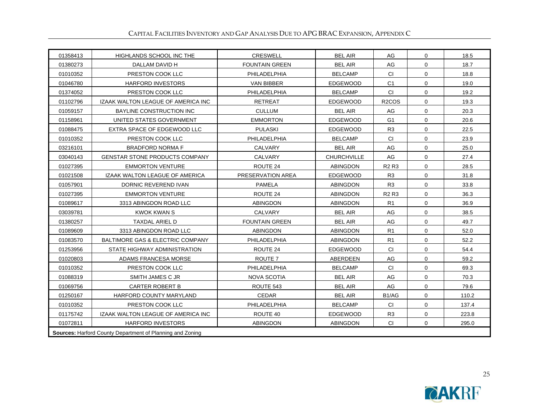| 01358413 | <b>HIGHLANDS SCHOOL INC THE</b>                                  | <b>CRESWELL</b>       | <b>BEL AIR</b>     | AG                 | $\Omega$    | 18.5  |
|----------|------------------------------------------------------------------|-----------------------|--------------------|--------------------|-------------|-------|
| 01380273 | DALLAM DAVID H                                                   | <b>FOUNTAIN GREEN</b> | <b>BEL AIR</b>     | AG                 | $\mathbf 0$ | 18.7  |
| 01010352 | PRESTON COOK LLC                                                 | PHILADELPHIA          | <b>BELCAMP</b>     | CI                 | $\mathbf 0$ | 18.8  |
| 01046780 | <b>HARFORD INVESTORS</b>                                         | <b>VAN BIBBER</b>     | <b>EDGEWOOD</b>    | C <sub>1</sub>     | $\mathbf 0$ | 19.0  |
| 01374052 | PRESTON COOK LLC                                                 | PHILADELPHIA          | <b>BELCAMP</b>     | <b>CI</b>          | $\mathbf 0$ | 19.2  |
| 01102796 | IZAAK WALTON LEAGUE OF AMERICA INC                               | <b>RETREAT</b>        | <b>EDGEWOOD</b>    | R <sub>2</sub> COS | $\Omega$    | 19.3  |
| 01059157 | <b>BAYLINE CONSTRUCTION INC</b>                                  | <b>CULLUM</b>         | <b>BEL AIR</b>     | AG                 | $\mathbf 0$ | 20.3  |
| 01158961 | UNITED STATES GOVERNMENT                                         | <b>EMMORTON</b>       | <b>EDGEWOOD</b>    | G <sub>1</sub>     | $\mathbf 0$ | 20.6  |
| 01088475 | EXTRA SPACE OF EDGEWOOD LLC                                      | <b>PULASKI</b>        | <b>EDGEWOOD</b>    | R <sub>3</sub>     | $\mathbf 0$ | 22.5  |
| 01010352 | PRESTON COOK LLC                                                 | PHILADELPHIA          | <b>BELCAMP</b>     | <b>CI</b>          | $\mathbf 0$ | 23.9  |
| 03216101 | <b>BRADFORD NORMA F</b>                                          | <b>CALVARY</b>        | <b>BEL AIR</b>     | AG                 | $\mathbf 0$ | 25.0  |
| 03040143 | <b>GENSTAR STONE PRODUCTS COMPANY</b>                            | <b>CALVARY</b>        | <b>CHURCHVILLE</b> | AG                 | $\mathbf 0$ | 27.4  |
| 01027395 | <b>EMMORTON VENTURE</b>                                          | ROUTE 24              | <b>ABINGDON</b>    | <b>R2 R3</b>       | $\mathbf 0$ | 28.5  |
| 01021508 | IZAAK WALTON LEAGUE OF AMERICA                                   | PRESERVATION AREA     | <b>EDGEWOOD</b>    | R <sub>3</sub>     | $\mathbf 0$ | 31.8  |
| 01057901 | DORNIC REVEREND IVAN                                             | <b>PAMELA</b>         | <b>ABINGDON</b>    | R <sub>3</sub>     | $\mathbf 0$ | 33.8  |
| 01027395 | <b>EMMORTON VENTURE</b>                                          | ROUTE 24              | <b>ABINGDON</b>    | <b>R2 R3</b>       | $\mathbf 0$ | 36.3  |
| 01089617 | 3313 ABINGDON ROAD LLC                                           | <b>ABINGDON</b>       | <b>ABINGDON</b>    | R <sub>1</sub>     | $\mathbf 0$ | 36.9  |
| 03039781 | <b>KWOK KWAN S</b>                                               | CALVARY               | <b>BEL AIR</b>     | AG                 | $\mathbf 0$ | 38.5  |
| 01380257 | <b>TAXDAL ARIEL D</b>                                            | <b>FOUNTAIN GREEN</b> | <b>BEL AIR</b>     | AG                 | $\mathbf 0$ | 49.7  |
| 01089609 | 3313 ABINGDON ROAD LLC                                           | <b>ABINGDON</b>       | <b>ABINGDON</b>    | R <sub>1</sub>     | $\mathbf 0$ | 52.0  |
| 01083570 | BALTIMORE GAS & ELECTRIC COMPANY                                 | PHILADELPHIA          | <b>ABINGDON</b>    | R <sub>1</sub>     | $\mathbf 0$ | 52.2  |
| 01253956 | STATE HIGHWAY ADMINISTRATION                                     | ROUTE 24              | <b>EDGEWOOD</b>    | <b>CI</b>          | $\Omega$    | 54.4  |
| 01020803 | ADAMS FRANCESA MORSE                                             | ROUTE <sub>7</sub>    | <b>ABERDEEN</b>    | AG                 | $\mathbf 0$ | 59.2  |
| 01010352 | PRESTON COOK LLC                                                 | PHILADELPHIA          | <b>BELCAMP</b>     | <b>CI</b>          | $\mathbf 0$ | 69.3  |
| 01088319 | SMITH JAMES C JR                                                 | <b>NOVA SCOTIA</b>    | <b>BEL AIR</b>     | AG                 | $\mathbf 0$ | 70.3  |
| 01069756 | <b>CARTER ROBERT B</b>                                           | ROUTE 543             | <b>BEL AIR</b>     | AG                 | $\mathbf 0$ | 79.6  |
| 01250167 | HARFORD COUNTY MARYLAND                                          | <b>CEDAR</b>          | <b>BEL AIR</b>     | B1/AG              | $\mathbf 0$ | 110.2 |
| 01010352 | PRESTON COOK LLC                                                 | PHILADELPHIA          | <b>BELCAMP</b>     | <b>CI</b>          | $\mathbf 0$ | 137.4 |
| 01175742 | IZAAK WALTON LEAGUE OF AMERICA INC                               | ROUTE 40              | EDGEWOOD           | R <sub>3</sub>     | $\mathbf 0$ | 223.8 |
| 01072811 | <b>HARFORD INVESTORS</b>                                         | <b>ABINGDON</b>       | <b>ABINGDON</b>    | CI                 | $\mathbf 0$ | 295.0 |
|          | <b>Sources: Harford County Department of Planning and Zoning</b> |                       |                    |                    |             |       |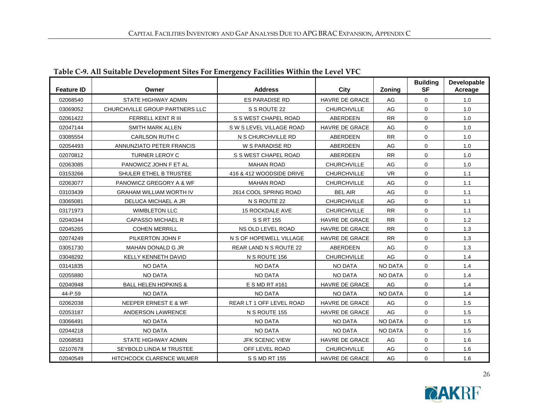| <b>Feature ID</b> | Owner                            | <b>Address</b>                | City                  | Zoning         | <b>Building</b><br><b>SF</b> | Developable<br>Acreage |
|-------------------|----------------------------------|-------------------------------|-----------------------|----------------|------------------------------|------------------------|
| 02068540          | <b>STATE HIGHWAY ADMIN</b>       | <b>ES PARADISE RD</b>         | <b>HAVRE DE GRACE</b> | AG             | 0                            | 1.0                    |
| 03069052          | CHURCHVILLE GROUP PARTNERS LLC   | S S ROUTE 22                  | <b>CHURCHVILLE</b>    | AG             | $\mathbf 0$                  | 1.0                    |
| 02061422          | FERRELL KENT R III               | S S WEST CHAPEL ROAD          | <b>ABERDEEN</b>       | RR             | $\mathbf 0$                  | 1.0                    |
| 02047144          | SMITH MARK ALLEN                 | S W S LEVEL VILLAGE ROAD      | <b>HAVRE DE GRACE</b> | AG             | $\mathbf 0$                  | 1.0                    |
| 03085554          | <b>CARLSON RUTH C</b>            | N S CHURCHVILLE RD            | <b>ABERDEEN</b>       | <b>RR</b>      | $\Omega$                     | 1.0                    |
| 02054493          | ANNUNZIATO PETER FRANCIS         | <b>W S PARADISE RD</b>        | <b>ABERDEEN</b>       | AG             | $\mathbf 0$                  | 1.0                    |
| 02070812          | <b>TURNER LEROY C</b>            | S S WEST CHAPEL ROAD          | <b>ABERDEEN</b>       | <b>RR</b>      | $\Omega$                     | 1.0                    |
| 02063085          | PANOWICZ JOHN F ET AL            | <b>MAHAN ROAD</b>             | <b>CHURCHVILLE</b>    | AG             | $\mathbf 0$                  | 1.0                    |
| 03153266          | SHULER ETHEL B TRUSTEE           | 416 & 412 WOODSIDE DRIVE      | <b>CHURCHVILLE</b>    | <b>VR</b>      | $\mathbf 0$                  | 1.1                    |
| 02063077          | PANOWICZ GREGORY A & WF          | <b>MAHAN ROAD</b>             | CHURCHVILLE           | AG             | $\mathbf 0$                  | 1.1                    |
| 03103439          | <b>GRAHAM WILLIAM WORTH IV</b>   | 2614 COOL SPRING ROAD         | <b>BEL AIR</b>        | AG             | $\mathbf 0$                  | 1.1                    |
| 03065081          | <b>DELUCA MICHAEL A JR</b>       | N S ROUTE 22                  | <b>CHURCHVILLE</b>    | AG             | $\mathbf 0$                  | 1.1                    |
| 03171973          | <b>WIMBLETON LLC</b>             | <b>15 ROCKDALE AVE</b>        | <b>CHURCHVILLE</b>    | <b>RR</b>      | $\mathbf 0$                  | 1.1                    |
| 02040344          | <b>CAPASSO MICHAEL R</b>         | S S RT 155                    | <b>HAVRE DE GRACE</b> | RR             | $\mathbf 0$                  | 1.2                    |
| 02045265          | <b>COHEN MERRILL</b>             | NS OLD LEVEL ROAD             | HAVRE DE GRACE        | <b>RR</b>      | $\mathbf 0$                  | 1.3                    |
| 02074249          | PILKERTON JOHN F                 | N S OF HOPEWELL VILLAGE       | <b>HAVRE DE GRACE</b> | <b>RR</b>      | $\Omega$                     | 1.3                    |
| 03051730          | <b>MAHAN DONALD G JR</b>         | <b>REAR LAND N S ROUTE 22</b> | <b>ABERDEEN</b>       | AG             | $\mathbf 0$                  | 1.3                    |
| 03048292          | KELLY KENNETH DAVID              | N S ROUTE 156                 | <b>CHURCHVILLE</b>    | AG             | $\mathbf 0$                  | 1.4                    |
| 03141835          | <b>NO DATA</b>                   | <b>NO DATA</b>                | <b>NO DATA</b>        | <b>NO DATA</b> | $\mathbf 0$                  | 1.4                    |
| 02055880          | <b>NO DATA</b>                   | <b>NO DATA</b>                | <b>NO DATA</b>        | <b>NO DATA</b> | $\mathbf 0$                  | 1.4                    |
| 02040948          | <b>BALL HELEN HOPKINS &amp;</b>  | E S MD RT #161                | HAVRE DE GRACE        | AG             | $\mathbf 0$                  | 1.4                    |
| 44-P.59           | <b>NO DATA</b>                   | <b>NO DATA</b>                | <b>NO DATA</b>        | <b>NO DATA</b> | $\mathbf 0$                  | 1.4                    |
| 02062038          | <b>NEEPER ERNEST E &amp; WF</b>  | REAR LT 1 OFF LEVEL ROAD      | <b>HAVRE DE GRACE</b> | AG             | $\mathbf 0$                  | 1.5                    |
| 02053187          | <b>ANDERSON LAWRENCE</b>         | N S ROUTE 155                 | <b>HAVRE DE GRACE</b> | AG             | 0                            | 1.5                    |
| 03066491          | NO DATA                          | <b>NO DATA</b>                | <b>NO DATA</b>        | <b>NO DATA</b> | $\mathbf 0$                  | 1.5                    |
| 02044218          | <b>NO DATA</b>                   | <b>NO DATA</b>                | <b>NO DATA</b>        | <b>NO DATA</b> | $\mathbf 0$                  | 1.5                    |
| 02068583          | <b>STATE HIGHWAY ADMIN</b>       | <b>JFK SCENIC VIEW</b>        | <b>HAVRE DE GRACE</b> | AG             | $\mathbf 0$                  | 1.6                    |
| 02107678          | SEYBOLD LINDA M TRUSTEE          | OFF LEVEL ROAD                | <b>CHURCHVILLE</b>    | AG             | $\mathbf 0$                  | 1.6                    |
| 02040549          | <b>HITCHCOCK CLARENCE WILMER</b> | S S MD RT 155                 | <b>HAVRE DE GRACE</b> | AG             | $\Omega$                     | 1.6                    |

**Table C‐9. All Suitable Development Sites For Emergency Facilities Within the Level VFC**

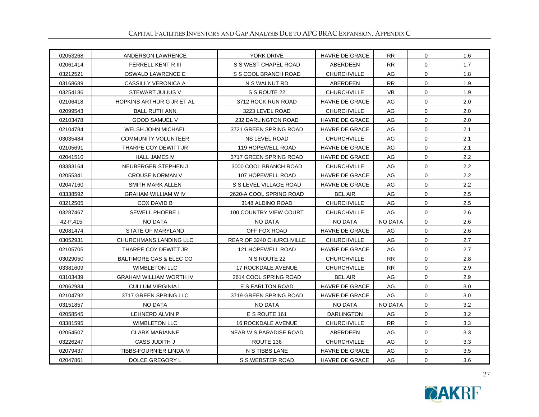| 02053268 | ANDERSON LAWRENCE              | YORK DRIVE                    | HAVRE DE GRACE        | <b>RR</b> | $\mathbf{0}$ | 1.6 |
|----------|--------------------------------|-------------------------------|-----------------------|-----------|--------------|-----|
| 02061414 | FERRELL KENT R III             | S S WEST CHAPEL ROAD          | ABERDEEN              | <b>RR</b> | $\mathbf 0$  | 1.7 |
| 03212521 | OSWALD LAWRENCE E              | S S COOL BRANCH ROAD          | <b>CHURCHVILLE</b>    | AG        | 0            | 1.8 |
| 03168689 | CASSILLY VERONICA A            | N S WALNUT RD                 | ABERDEEN              | <b>RR</b> | 0            | 1.9 |
| 03254186 | STEWART JULIUS V               | S S ROUTE 22                  | <b>CHURCHVILLE</b>    | VB        | $\mathbf 0$  | 1.9 |
| 02106418 | HOPKINS ARTHUR G JR ET AL      | 3712 ROCK RUN ROAD            | <b>HAVRE DE GRACE</b> | AG        | $\mathbf 0$  | 2.0 |
| 02099543 | <b>BALL RUTH ANN</b>           | 3223 LEVEL ROAD               | <b>CHURCHVILLE</b>    | AG        | 0            | 2.0 |
| 02103478 | GOOD SAMUEL V                  | 232 DARLINGTON ROAD           | HAVRE DE GRACE        | AG        | 0            | 2.0 |
| 02104784 | <b>WELSH JOHN MICHAEL</b>      | 3721 GREEN SPRING ROAD        | HAVRE DE GRACE        | AG        | 0            | 2.1 |
| 03035484 | <b>COMMUNITY VOLUNTEER</b>     | <b>NS LEVEL ROAD</b>          | <b>CHURCHVILLE</b>    | AG        | 0            | 2.1 |
| 02105691 | THARPE COY DEWITT JR           | 119 HOPEWELL ROAD             | <b>HAVRE DE GRACE</b> | AG        | 0            | 2.1 |
| 02041510 | <b>HALL JAMES M</b>            | 3717 GREEN SPRING ROAD        | HAVRE DE GRACE        | AG        | 0            | 2.2 |
| 03383164 | NEUBERGER STEPHEN J            | 3000 COOL BRANCH ROAD         | <b>CHURCHVILLE</b>    | AG        | $\mathbf 0$  | 2.2 |
| 02055341 | <b>CROUSE NORMAN V</b>         | 107 HOPEWELL ROAD             | HAVRE DE GRACE        | AG        | 0            | 2.2 |
| 02047160 | SMITH MARK ALLEN               | S S LEVEL VILLAGE ROAD        | <b>HAVRE DE GRACE</b> | AG        | 0            | 2.2 |
| 03338592 | <b>GRAHAM WILLIAM WIV</b>      | 2620-A COOL SPRING ROAD       | <b>BEL AIR</b>        | AG        | 0            | 2.5 |
| 03212505 | COX DAVID B                    | 3148 ALDINO ROAD              | <b>CHURCHVILLE</b>    | AG        | 0            | 2.5 |
| 03287467 | SEWELL PHOEBE L                | <b>100 COUNTRY VIEW COURT</b> | <b>CHURCHVILLE</b>    | AG        | 0            | 2.6 |
| 42-P.415 | NO DATA                        | NO DATA                       | NO DATA               | NO DATA   | $\mathbf 0$  | 2.6 |
| 02081474 | STATE OF MARYLAND              | OFF FOX ROAD                  | <b>HAVRE DE GRACE</b> | AG        | 0            | 2.6 |
| 03052931 | CHURCHMANS LANDING LLC         | REAR OF 3240 CHURCHVILLE      | <b>CHURCHVILLE</b>    | AG        | $\mathbf 0$  | 2.7 |
| 02105705 | THARPE COY DEWITT JR           | 121 HOPEWELL ROAD             | HAVRE DE GRACE        | AG        | $\mathbf 0$  | 2.7 |
| 03029050 | BALTIMORE GAS & ELEC CO        | N S ROUTE 22                  | <b>CHURCHVILLE</b>    | RR        | 0            | 2.8 |
| 03381609 | <b>WIMBLETON LLC</b>           | 17 ROCKDALE AVENUE            | <b>CHURCHVILLE</b>    | <b>RR</b> | 0            | 2.9 |
| 03103439 | <b>GRAHAM WILLIAM WORTH IV</b> | 2614 COOL SPRING ROAD         | <b>BEL AIR</b>        | AG        | 0            | 2.9 |
| 02062984 | <b>CULLUM VIRGINIA L</b>       | E S EARLTON ROAD              | HAVRE DE GRACE        | AG        | $\mathbf 0$  | 3.0 |
| 02104792 | 3717 GREEN SPRING LLC          | 3719 GREEN SPRING ROAD        | <b>HAVRE DE GRACE</b> | AG        | $\mathbf{0}$ | 3.0 |
| 03151857 | NO DATA                        | NO DATA                       | NO DATA               | NO DATA   | 0            | 3.2 |
| 02058545 | LEHNERD ALVIN P                | E S ROUTE 161                 | <b>DARLINGTON</b>     | AG        | 0            | 3.2 |
| 03381595 | <b>WIMBLETON LLC</b>           | <b>16 ROCKDALE AVENUE</b>     | <b>CHURCHVILLE</b>    | <b>RR</b> | $\mathbf 0$  | 3.3 |
| 02054507 | <b>CLARK MARIANNE</b>          | NEAR W S PARADISE ROAD        | ABERDEEN              | AG        | $\mathbf 0$  | 3.3 |
| 03226247 | CASS JUDITH J                  | ROUTE 136                     | <b>CHURCHVILLE</b>    | AG        | 0            | 3.3 |
| 02079437 | TIBBS-FOURNIER LINDA M         | N S TIBBS LANE                | HAVRE DE GRACE        | AG        | 0            | 3.5 |
| 02047861 | DOLCE GREGORY L                | <b>S S WEBSTER ROAD</b>       | HAVRE DE GRACE        | AG        | $\mathbf 0$  | 3.6 |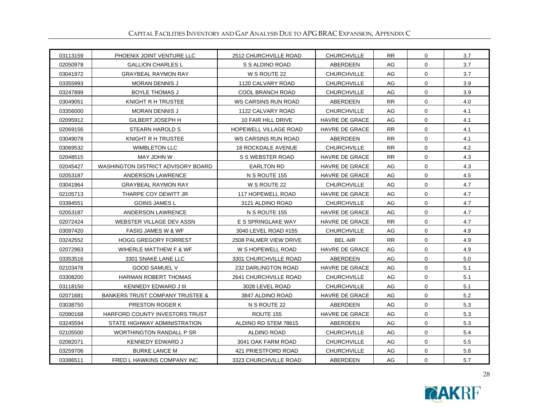| 03113159 | PHOENIX JOINT VENTURE LLC                  | 2512 CHURCHVILLE ROAD        | <b>CHURCHVILLE</b>    | <b>RR</b> | $\mathbf{0}$ | 3.7     |
|----------|--------------------------------------------|------------------------------|-----------------------|-----------|--------------|---------|
| 02050978 | <b>GALLION CHARLES L</b>                   | S S ALDINO ROAD              | ABERDEEN              | AG        | 0            | 3.7     |
| 03041972 | <b>GRAYBEAL RAYMON RAY</b>                 | W S ROUTE 22                 | <b>CHURCHVILLE</b>    | AG        | 0            | 3.7     |
| 03355993 | <b>MORAN DENNIS J</b>                      | 1120 CALVARY ROAD            | <b>CHURCHVILLE</b>    | AG        | $\mathbf 0$  | 3.9     |
| 03247899 | <b>BOYLE THOMAS J</b>                      | <b>COOL BRANCH ROAD</b>      | <b>CHURCHVILLE</b>    | AG        | $\Omega$     | 3.9     |
| 03049051 | KNIGHT R H TRUSTEE                         | WS CARSINS RUN ROAD          | ABERDEEN              | RR        | 0            | 4.0     |
| 03356000 | <b>MORAN DENNIS J</b>                      | 1122 CALVARY ROAD            | <b>CHURCHVILLE</b>    | AG        | $\mathbf 0$  | 4.1     |
| 02095912 | GILBERT JOSEPH H                           | 10 FAIR HILL DRIVE           | HAVRE DE GRACE        | AG        | $\mathbf 0$  | 4.1     |
| 02069156 | STEARN HAROLD S                            | <b>HOPEWELL VILLAGE ROAD</b> | <b>HAVRE DE GRACE</b> | <b>RR</b> | 0            | 4.1     |
| 03049078 | KNIGHT R H TRUSTEE                         | WS CARSINS RUN ROAD          | ABERDEEN              | <b>RR</b> | $\mathbf{0}$ | 4.1     |
| 03069532 | <b>WIMBLETON LLC</b>                       | <b>18 ROCKDALE AVENUE</b>    | <b>CHURCHVILLE</b>    | <b>RR</b> | $\Omega$     | 4.2     |
| 02048515 | MAY JOHN W                                 | S S WEBSTER ROAD             | HAVRE DE GRACE        | <b>RR</b> | 0            | 4.3     |
| 02045427 | WASHINGTON DISTRICT ADVISORY BOARD         | <b>EARLTON RD</b>            | HAVRE DE GRACE        | AG        | 0            | 4.3     |
| 02053187 | <b>ANDERSON LAWRENCE</b>                   | N S ROUTE 155                | HAVRE DE GRACE        | AG        | 0            | 4.5     |
| 03041964 | <b>GRAYBEAL RAYMON RAY</b>                 | W S ROUTE 22                 | <b>CHURCHVILLE</b>    | AG        | 0            | 4.7     |
| 02105713 | THARPE COY DEWITT JR                       | <b>117 HOPEWELL ROAD</b>     | HAVRE DE GRACE        | AG        | $\Omega$     | 4.7     |
| 03384551 | <b>GOINS JAMES L</b>                       | 3121 ALDINO ROAD             | <b>CHURCHVILLE</b>    | AG        | $\Omega$     | 4.7     |
| 02053187 | <b>ANDERSON LAWRENCE</b>                   | N S ROUTE 155                | <b>HAVRE DE GRACE</b> | AG        | 0            | 4.7     |
| 02072424 | WEBSTER VILLAGE DEV ASSN                   | E S SPRINGLAKE WAY           | HAVRE DE GRACE        | RR        | $\mathbf 0$  | 4.7     |
| 03097420 | <b>FASIG JAMES W &amp; WF</b>              | 3040 LEVEL ROAD #155         | <b>CHURCHVILLE</b>    | AG        | $\mathbf 0$  | 4.9     |
| 03242552 | <b>HOGG GREGORY FORREST</b>                | 2508 PALMER VIEW DRIVE       | <b>BEL AIR</b>        | <b>RR</b> | 0            | 4.9     |
| 02072963 | WIHERLE MATTHEW F & WF                     | W S HOPEWELL ROAD            | HAVRE DE GRACE        | AG        | 0            | 4.9     |
| 03353516 | 3301 SNAKE LANE LLC                        | 3301 CHURCHVILLE ROAD        | ABERDEEN              | AG        | $\mathbf 0$  | $5.0\,$ |
| 02103478 | <b>GOOD SAMUEL V</b>                       | 232 DARLINGTON ROAD          | <b>HAVRE DE GRACE</b> | AG        | $\mathbf 0$  | 5.1     |
| 03308200 | <b>HARMAN ROBERT THOMAS</b>                | 2641 CHURCHVILLE ROAD        | <b>CHURCHVILLE</b>    | AG        | 0            | 5.1     |
| 03118150 | KENNEDY EDWARD J III                       | 3028 LEVEL ROAD              | <b>CHURCHVILLE</b>    | AG        | $\mathbf 0$  | 5.1     |
| 02071681 | <b>BANKERS TRUST COMPANY TRUSTEE &amp;</b> | 3847 ALDINO ROAD             | <b>HAVRE DE GRACE</b> | AG        | $\mathbf 0$  | 5.2     |
| 03038750 | PRESTON ROGER K                            | N S ROUTE 22                 | ABERDEEN              | AG        | $\Omega$     | 5.3     |
| 02080168 | HARFORD COUNTY INVESTORS TRUST             | ROUTE 155                    | <b>HAVRE DE GRACE</b> | AG        | $\Omega$     | 5.3     |
| 03245594 | STATE HIGHWAY ADMINISTRATION               | ALDINO RD STEM 78615         | ABERDEEN              | AG        | 0            | 5.3     |
| 02105500 | WORTHINGTON RANDALL P SR                   | ALDINO ROAD                  | <b>CHURCHVILLE</b>    | AG        | $\mathbf 0$  | 5.4     |
| 02082071 | <b>KENNEDY EDWARD J</b>                    | 3041 OAK FARM ROAD           | <b>CHURCHVILLE</b>    | AG        | $\mathbf 0$  | 5.5     |
| 03259706 | <b>BURKE LANCE M</b>                       | 421 PRIESTFORD ROAD          | <b>CHURCHVILLE</b>    | AG        | 0            | 5.6     |
| 03386511 | FRED L HAWKINS COMPANY INC                 | 3323 CHURCHVILLE ROAD        | ABERDEEN              | AG        | $\mathbf 0$  | 5.7     |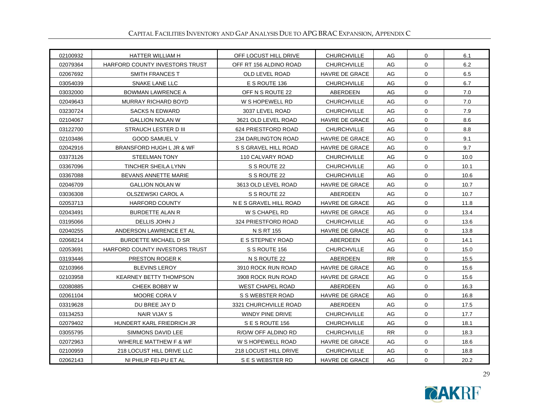| 02100932 | HATTER WILLIAM H               | OFF LOCUST HILL DRIVE   | <b>CHURCHVILLE</b>    | AG        | $\mathbf 0$ | 6.1  |
|----------|--------------------------------|-------------------------|-----------------------|-----------|-------------|------|
| 02079364 | HARFORD COUNTY INVESTORS TRUST | OFF RT 156 ALDINO ROAD  | <b>CHURCHVILLE</b>    | AG        | 0           | 6.2  |
| 02067692 | SMITH FRANCES T                | OLD LEVEL ROAD          | HAVRE DE GRACE        | AG        | $\mathbf 0$ | 6.5  |
| 03054039 | SNAKE LANE LLC                 | E S ROUTE 136           | <b>CHURCHVILLE</b>    | AG        | 0           | 6.7  |
| 03032000 | <b>BOWMAN LAWRENCE A</b>       | OFF N S ROUTE 22        | ABERDEEN              | AG        | $\mathbf 0$ | 7.0  |
| 02049643 | <b>MURRAY RICHARD BOYD</b>     | W S HOPEWELL RD         | <b>CHURCHVILLE</b>    | AG        | $\Omega$    | 7.0  |
| 03230724 | <b>SACKS N EDWARD</b>          | 3037 LEVEL ROAD         | <b>CHURCHVILLE</b>    | AG        | $\mathbf 0$ | 7.9  |
| 02104067 | <b>GALLION NOLAN W</b>         | 3621 OLD LEVEL ROAD     | <b>HAVRE DE GRACE</b> | AG        | $\mathbf 0$ | 8.6  |
| 03122700 | STRAUCH LESTER D III           | 624 PRIESTFORD ROAD     | <b>CHURCHVILLE</b>    | AG        | 0           | 8.8  |
| 02103486 | <b>GOOD SAMUEL V</b>           | 234 DARLINGTON ROAD     | HAVRE DE GRACE        | AG        | $\mathbf 0$ | 9.1  |
| 02042916 | BRANSFORD HUGH L JR & WF       | S S GRAVEL HILL ROAD    | HAVRE DE GRACE        | AG        | $\mathbf 0$ | 9.7  |
| 03373126 | STEELMAN TONY                  | 110 CALVARY ROAD        | <b>CHURCHVILLE</b>    | AG        | $\mathbf 0$ | 10.0 |
| 03367096 | TINCHER SHEILA LYNN            | S S ROUTE 22            | <b>CHURCHVILLE</b>    | AG        | 0           | 10.1 |
| 03367088 | BEVANS ANNETTE MARIE           | S S ROUTE 22            | <b>CHURCHVILLE</b>    | AG        | 0           | 10.6 |
| 02046709 | <b>GALLION NOLAN W</b>         | 3613 OLD LEVEL ROAD     | <b>HAVRE DE GRACE</b> | AG        | 0           | 10.7 |
| 03036308 | OLSZEWSKI CAROL A              | S S ROUTE 22            | ABERDEEN              | AG        | $\mathbf 0$ | 10.7 |
| 02053713 | <b>HARFORD COUNTY</b>          | N E S GRAVEL HILL ROAD  | <b>HAVRE DE GRACE</b> | AG        | $\mathbf 0$ | 11.8 |
| 02043491 | BURDETTE ALAN R                | W S CHAPEL RD           | HAVRE DE GRACE        | AG        | 0           | 13.4 |
| 03195066 | DELLIS JOHN J                  | 324 PRIESTFORD ROAD     | <b>CHURCHVILLE</b>    | AG        | 0           | 13.6 |
| 02040255 | ANDERSON LAWRENCE ET AL        | <b>N S RT 155</b>       | HAVRE DE GRACE        | AG        | 0           | 13.8 |
| 02068214 | <b>BURDETTE MICHAEL D SR</b>   | E S STEPNEY ROAD        | ABERDEEN              | AG        | $\mathbf 0$ | 14.1 |
| 02053691 | HARFORD COUNTY INVESTORS TRUST | S S ROUTE 156           | <b>CHURCHVILLE</b>    | AG        | $\mathbf 0$ | 15.0 |
| 03193446 | PRESTON ROGER K                | N S ROUTE 22            | ABERDEEN              | <b>RR</b> | $\mathbf 0$ | 15.5 |
| 02103966 | <b>BLEVINS LEROY</b>           | 3910 ROCK RUN ROAD      | <b>HAVRE DE GRACE</b> | AG        | $\Omega$    | 15.6 |
| 02103958 | <b>KEARNEY BETTY THOMPSON</b>  | 3908 ROCK RUN ROAD      | <b>HAVRE DE GRACE</b> | AG        | 0           | 15.6 |
| 02080885 | CHEEK BOBBY W                  | <b>WEST CHAPEL ROAD</b> | ABERDEEN              | AG        | $\mathbf 0$ | 16.3 |
| 02061104 | MOORE CORA V                   | S S WEBSTER ROAD        | HAVRE DE GRACE        | AG        | 0           | 16.8 |
| 03319628 | DU BREE JAY D                  | 3321 CHURCHVILLE ROAD   | ABERDEEN              | AG        | $\mathbf 0$ | 17.5 |
| 03134253 | <b>NAIR VIJAY S</b>            | WINDY PINE DRIVE        | <b>CHURCHVILLE</b>    | AG        | 0           | 17.7 |
| 02079402 | HUNDERT KARL FRIEDRICH JR      | S E S ROUTE 156         | <b>CHURCHVILLE</b>    | AG        | 0           | 18.1 |
| 03055795 | SIMMONS DAVID LEE              | R/O/W OFF ALDINO RD     | <b>CHURCHVILLE</b>    | <b>RR</b> | $\mathbf 0$ | 18.3 |
| 02072963 | WIHERLE MATTHEW F & WF         | W S HOPEWELL ROAD       | HAVRE DE GRACE        | AG        | 0           | 18.6 |
| 02100959 | 218 LOCUST HILL DRIVE LLC      | 218 LOCUST HILL DRIVE   | <b>CHURCHVILLE</b>    | AG        | 0           | 18.8 |
| 02062143 | NI PHILIP FEI-PU ET AL         | S E S WEBSTER RD        | <b>HAVRE DE GRACE</b> | AG        | $\mathbf 0$ | 20.2 |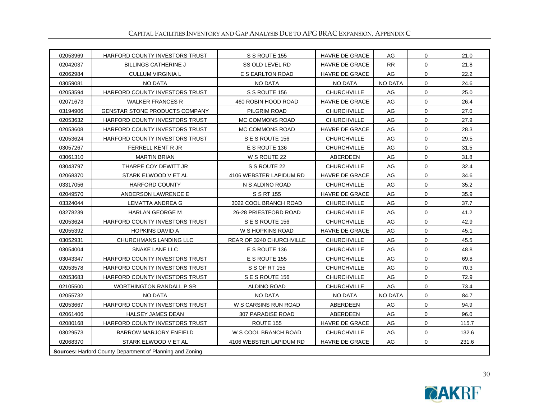| 02053969                                                         | HARFORD COUNTY INVESTORS TRUST        | S S ROUTE 155            | HAVRE DE GRACE        | AG             | 0           | 21.0  |  |
|------------------------------------------------------------------|---------------------------------------|--------------------------|-----------------------|----------------|-------------|-------|--|
| 02042037                                                         | <b>BILLINGS CATHERINE J</b>           | SS OLD LEVEL RD          | HAVRE DE GRACE        | <b>RR</b>      | 0           | 21.8  |  |
| 02062984                                                         | <b>CULLUM VIRGINIA L</b>              | E S EARLTON ROAD         | <b>HAVRE DE GRACE</b> | AG             | 0           | 22.2  |  |
| 03059081                                                         | NO DATA                               | NO DATA                  | NO DATA               | <b>NO DATA</b> | 0           | 24.6  |  |
| 02053594                                                         | HARFORD COUNTY INVESTORS TRUST        | S S ROUTE 156            | <b>CHURCHVILLE</b>    | AG             | $\mathbf 0$ | 25.0  |  |
| 02071673                                                         | <b>WALKER FRANCES R</b>               | 460 ROBIN HOOD ROAD      | HAVRE DE GRACE        | AG             | 0           | 26.4  |  |
| 03194906                                                         | <b>GENSTAR STONE PRODUCTS COMPANY</b> | PILGRIM ROAD             | <b>CHURCHVILLE</b>    | AG             | 0           | 27.0  |  |
| 02053632                                                         | HARFORD COUNTY INVESTORS TRUST        | MC COMMONS ROAD          | <b>CHURCHVILLE</b>    | AG             | $\mathbf 0$ | 27.9  |  |
| 02053608                                                         | HARFORD COUNTY INVESTORS TRUST        | <b>MC COMMONS ROAD</b>   | <b>HAVRE DE GRACE</b> | AG             | $\Omega$    | 28.3  |  |
| 02053624                                                         | HARFORD COUNTY INVESTORS TRUST        | S E S ROUTE 156          | CHURCHVILLE           | AG             | 0           | 29.5  |  |
| 03057267                                                         | FERRELL KENT R JR                     | E S ROUTE 136            | <b>CHURCHVILLE</b>    | AG             | $\mathbf 0$ | 31.5  |  |
| 03061310                                                         | <b>MARTIN BRIAN</b>                   | W S ROUTE 22             | ABERDEEN              | AG             | 0           | 31.8  |  |
| 03043797                                                         | THARPE COY DEWITT JR                  | S S ROUTE 22             | <b>CHURCHVILLE</b>    | AG             | 0           | 32.4  |  |
| 02068370                                                         | STARK ELWOOD V ET AL                  | 4106 WEBSTER LAPIDUM RD  | <b>HAVRE DE GRACE</b> | AG             | 0           | 34.6  |  |
| 03317056                                                         | <b>HARFORD COUNTY</b>                 | N S ALDINO ROAD          | <b>CHURCHVILLE</b>    | AG             | 0           | 35.2  |  |
| 02049570                                                         | ANDERSON LAWRENCE E                   | S S RT 155               | HAVRE DE GRACE        | AG             | $\mathbf 0$ | 35.9  |  |
| 03324044                                                         | LEMATTA ANDREA G                      | 3022 COOL BRANCH ROAD    | <b>CHURCHVILLE</b>    | AG             | $\mathbf 0$ | 37.7  |  |
| 03278239                                                         | <b>HARLAN GEORGE M</b>                | 26-28 PRIESTFORD ROAD    | <b>CHURCHVILLE</b>    | AG             | $\mathbf 0$ | 41.2  |  |
| 02053624                                                         | <b>HARFORD COUNTY INVESTORS TRUST</b> | S E S ROUTE 156          | <b>CHURCHVILLE</b>    | AG             | 0           | 42.9  |  |
| 02055392                                                         | <b>HOPKINS DAVID A</b>                | W S HOPKINS ROAD         | <b>HAVRE DE GRACE</b> | AG             | 0           | 45.1  |  |
| 03052931                                                         | CHURCHMANS LANDING LLC                | REAR OF 3240 CHURCHVILLE | <b>CHURCHVILLE</b>    | AG             | $\Omega$    | 45.5  |  |
| 03054004                                                         | <b>SNAKE LANE LLC</b>                 | E S ROUTE 136            | <b>CHURCHVILLE</b>    | AG             | $\Omega$    | 48.8  |  |
| 03043347                                                         | <b>HARFORD COUNTY INVESTORS TRUST</b> | E S ROUTE 155            | <b>CHURCHVILLE</b>    | AG             | 0           | 69.8  |  |
| 02053578                                                         | HARFORD COUNTY INVESTORS TRUST        | S S OF RT 155            | <b>CHURCHVILLE</b>    | AG             | 0           | 70.3  |  |
| 02053683                                                         | HARFORD COUNTY INVESTORS TRUST        | S E S ROUTE 156          | <b>CHURCHVILLE</b>    | AG             | 0           | 72.9  |  |
| 02105500                                                         | <b>WORTHINGTON RANDALL P SR</b>       | ALDINO ROAD              | <b>CHURCHVILLE</b>    | AG             | 0           | 73.4  |  |
| 02055732                                                         | NO DATA                               | NO DATA                  | <b>NO DATA</b>        | <b>NO DATA</b> | 0           | 84.7  |  |
| 02053667                                                         | HARFORD COUNTY INVESTORS TRUST        | W S CARSINS RUN ROAD     | ABERDEEN              | AG             | $\mathbf 0$ | 94.9  |  |
| 02061406                                                         | <b>HALSEY JAMES DEAN</b>              | <b>307 PARADISE ROAD</b> | ABERDEEN              | AG             | $\mathbf 0$ | 96.0  |  |
| 02080168                                                         | HARFORD COUNTY INVESTORS TRUST        | ROUTE 155                | HAVRE DE GRACE        | AG             | $\mathbf 0$ | 115.7 |  |
| 03029573                                                         | <b>BARROW MARJORY ENFIELD</b>         | W S COOL BRANCH ROAD     | <b>CHURCHVILLE</b>    | AG             | 0           | 132.6 |  |
| 02068370                                                         | STARK ELWOOD V ET AL                  | 4106 WEBSTER LAPIDUM RD  | <b>HAVRE DE GRACE</b> | AG             | $\mathbf 0$ | 231.6 |  |
| <b>Sources: Harford County Department of Planning and Zoning</b> |                                       |                          |                       |                |             |       |  |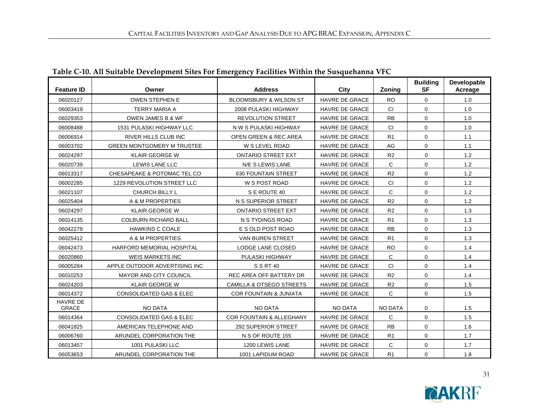| Feature ID               | Owner                              | <b>Address</b>                      | City                  | <b>Zoning</b>  | <b>Building</b><br><b>SF</b> | Developable<br>Acreage |
|--------------------------|------------------------------------|-------------------------------------|-----------------------|----------------|------------------------------|------------------------|
| 06020127                 | <b>OWEN STEPHEN E</b>              | <b>BLOOMSBURY &amp; WILSON ST</b>   | <b>HAVRE DE GRACE</b> | <b>RO</b>      | 0                            | 1.0                    |
| 06003419                 | <b>TERRY MARIA A</b>               | 2008 PULASKI HIGHWAY                | <b>HAVRE DE GRACE</b> | <b>CI</b>      | $\Omega$                     | 1.0                    |
| 06029353                 | <b>OWEN JAMES B &amp; WF</b>       | <b>REVOLUTION STREET</b>            | <b>HAVRE DE GRACE</b> | <b>RB</b>      | $\Omega$                     | 1.0                    |
| 06008488                 | 1531 PULASKI HIGHWAY LLC           | N W S PULASKI HIGHWAY               | HAVRE DE GRACE        | <b>CI</b>      | $\mathbf 0$                  | 1.0                    |
| 06006914                 | <b>RIVER HILLS CLUB INC</b>        | <b>OPEN GREEN &amp; REC AREA</b>    | <b>HAVRE DE GRACE</b> | R <sub>1</sub> | $\Omega$                     | 1.1                    |
| 06003702                 | <b>GREEN MONTGOMERY M TRUSTEE</b>  | W S LEVEL ROAD                      | <b>HAVRE DE GRACE</b> | AG             | $\Omega$                     | 1.1                    |
| 06024297                 | <b>KLAIR GEORGE W</b>              | <b>ONTARIO STREET EXT</b>           | <b>HAVRE DE GRACE</b> | R <sub>2</sub> | $\mathbf 0$                  | 1.2                    |
| 06020739                 | <b>LEWIS LANE LLC</b>              | <b>N/E S LEWIS LANE</b>             | <b>HAVRE DE GRACE</b> | C              | $\mathbf 0$                  | 1.2                    |
| 06013317                 | CHESAPEAKE & POTOMAC TEL CO        | <b>630 FOUNTAIN STREET</b>          | <b>HAVRE DE GRACE</b> | R2             | $\Omega$                     | 1.2                    |
| 06002285                 | 1229 REVOLUTION STREET LLC         | W S POST ROAD                       | <b>HAVRE DE GRACE</b> | <b>CI</b>      | $\mathbf 0$                  | 1.2                    |
| 06021107                 | CHURCH BILLY L                     | S E ROUTE 40                        | HAVRE DE GRACE        | $\mathsf{C}$   | $\mathbf 0$                  | $1.2$                  |
| 06025404                 | A & M PROPERTIES                   | N S SUPERIOR STREET                 | <b>HAVRE DE GRACE</b> | R <sub>2</sub> | $\Omega$                     | 1.2                    |
| 06024297                 | <b>KLAIR GEORGE W</b>              | <b>ONTARIO STREET EXT</b>           | <b>HAVRE DE GRACE</b> | R2             | $\Omega$                     | 1.3                    |
| 06014135                 | <b>COLBURN RICHARD BALL</b>        | N S TYDINGS ROAD                    | HAVRE DE GRACE        | R <sub>1</sub> | $\mathbf 0$                  | 1.3                    |
| 06042279                 | <b>HAWKINS C COALE</b>             | E S OLD POST ROAD                   | <b>HAVRE DE GRACE</b> | <b>RB</b>      | $\mathbf 0$                  | 1.3                    |
| 06025412                 | A & M PROPERTIES                   | <b>VAN BUREN STREET</b>             | <b>HAVRE DE GRACE</b> | R <sub>1</sub> | $\Omega$                     | 1.3                    |
| 06042473                 | HARFORD MEMORIAL HOSPITAL          | LODGE LANE CLOSED                   | HAVRE DE GRACE        | <b>RO</b>      | $\mathbf 0$                  | 1.4                    |
| 06020860                 | <b>WEIS MARKETS INC</b>            | PULASKI HIGHWAY                     | <b>HAVRE DE GRACE</b> | $\mathsf{C}$   | $\mathbf 0$                  | 1.4                    |
| 06005284                 | APPLE OUTDOOR ADVERTISING INC.     | S S RT 40                           | <b>HAVRE DE GRACE</b> | <b>CI</b>      | $\Omega$                     | 1.4                    |
| 06010253                 | MAYOR AND CITY COUNCIL             | REC AREA OFF BATTERY DR             | <b>HAVRE DE GRACE</b> | R <sub>2</sub> | $\Omega$                     | 1.4                    |
| 06024203                 | <b>KLAIR GEORGE W</b>              | <b>CAMILLA &amp; OTSEGO STREETS</b> | <b>HAVRE DE GRACE</b> | R2             | 0                            | 1.5                    |
| 06014372                 | <b>CONSOLIDATED GAS &amp; ELEC</b> | <b>COR FOUNTAIN &amp; JUNIATA</b>   | <b>HAVRE DE GRACE</b> | $\mathsf{C}$   | $\mathbf 0$                  | 1.5                    |
| <b>HAVRE DE</b><br>GRACE | <b>NO DATA</b>                     | <b>NO DATA</b>                      | <b>NO DATA</b>        | NO DATA        | $\Omega$                     | 1.5                    |
| 06014364                 | <b>CONSOLIDATED GAS &amp; ELEC</b> | <b>COR FOUNTAIN &amp; ALLEGHANY</b> | <b>HAVRE DE GRACE</b> | C              | $\Omega$                     | 1.5                    |
| 06041825                 | AMERICAN TELEPHONE AND             | 292 SUPERIOR STREET                 | HAVRE DE GRACE        | <b>RB</b>      | $\mathbf 0$                  | 1.6                    |
| 06006760                 | ARUNDEL CORPORATION THE            | N S OF ROUTE 155                    | <b>HAVRE DE GRACE</b> | R <sub>1</sub> | $\mathbf 0$                  | 1.7                    |
| 06013457                 | 1001 PULASKI LLC                   | 1200 LEWIS LANE                     | <b>HAVRE DE GRACE</b> | C              | $\mathbf 0$                  | 1.7                    |
| 06053653                 | ARUNDEL CORPORATION THE            | 1001 LAPIDUM ROAD                   | <b>HAVRE DE GRACE</b> | R <sub>1</sub> | $\mathbf 0$                  | 1.8                    |

## **Table C‐10. All Suitable Development Sites For Emergency Facilities Within the Susquehanna VFC**

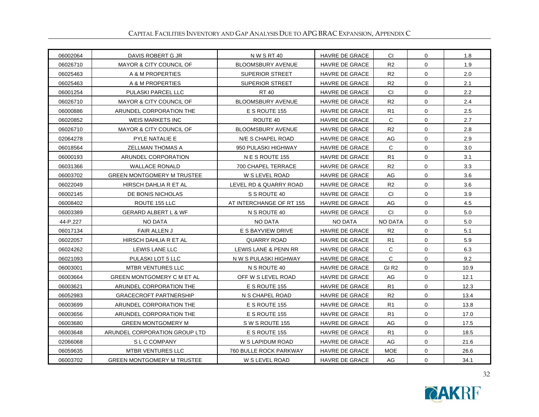| 06002064 | DAVIS ROBERT G JR                 | N W S RT 40              | HAVRE DE GRACE        | CI               | $\mathbf 0$  | 1.8     |
|----------|-----------------------------------|--------------------------|-----------------------|------------------|--------------|---------|
| 06026710 | MAYOR & CITY COUNCIL OF           | <b>BLOOMSBURY AVENUE</b> | HAVRE DE GRACE        | R <sub>2</sub>   | $\mathbf 0$  | 1.9     |
| 06025463 | A & M PROPERTIES                  | <b>SUPERIOR STREET</b>   | HAVRE DE GRACE        | R2               | $\mathbf 0$  | 2.0     |
| 06025463 | A & M PROPERTIES                  | <b>SUPERIOR STREET</b>   | HAVRE DE GRACE        | R <sub>2</sub>   | $\mathbf 0$  | 2.1     |
| 06001254 | PULASKI PARCEL LLC                | RT 40                    | <b>HAVRE DE GRACE</b> | CI               | $\mathbf 0$  | 2.2     |
| 06026710 | MAYOR & CITY COUNCIL OF           | <b>BLOOMSBURY AVENUE</b> | HAVRE DE GRACE        | R <sub>2</sub>   | $\mathbf 0$  | 2.4     |
| 06000886 | ARUNDEL CORPORATION THE           | E S ROUTE 155            | <b>HAVRE DE GRACE</b> | R1               | $\mathbf 0$  | 2.5     |
| 06020852 | <b>WEIS MARKETS INC</b>           | ROUTE 40                 | HAVRE DE GRACE        | C                | $\mathbf 0$  | 2.7     |
| 06026710 | MAYOR & CITY COUNCIL OF           | <b>BLOOMSBURY AVENUE</b> | HAVRE DE GRACE        | R <sub>2</sub>   | 0            | 2.8     |
| 02064278 | PYLE NATALIE E                    | N/E S CHAPEL ROAD        | HAVRE DE GRACE        | AG               | $\mathbf 0$  | 2.9     |
| 06018564 | <b>ZELLMAN THOMAS A</b>           | 950 PULASKI HIGHWAY      | HAVRE DE GRACE        | $\mathsf C$      | $\mathsf{O}$ | 3.0     |
| 06000193 | ARUNDEL CORPORATION               | N E S ROUTE 155          | HAVRE DE GRACE        | R1               | $\mathbf 0$  | 3.1     |
| 06031366 | <b>WALLACE RONALD</b>             | 700 CHAPEL TERRACE       | HAVRE DE GRACE        | R <sub>2</sub>   | $\mathbf{0}$ | 3.3     |
| 06003702 | <b>GREEN MONTGOMERY M TRUSTEE</b> | W S LEVEL ROAD           | HAVRE DE GRACE        | AG               | $\mathbf 0$  | 3.6     |
| 06022049 | HIRSCH DAHLIA R ET AL             | LEVEL RD & QUARRY ROAD   | HAVRE DE GRACE        | R <sub>2</sub>   | $\mathbf{0}$ | 3.6     |
| 06002145 | DE BONIS NICHOLAS                 | S S ROUTE 40             | HAVRE DE GRACE        | CI.              | $\mathbf 0$  | 3.9     |
| 06008402 | ROUTE 155 LLC                     | AT INTERCHANGE OF RT 155 | HAVRE DE GRACE        | AG               | $\mathbf 0$  | 4.5     |
| 06003389 | <b>GERARD ALBERT L &amp; WF</b>   | N S ROUTE 40             | HAVRE DE GRACE        | CI               | $\mathsf{O}$ | $5.0\,$ |
| 44-P.227 | <b>NO DATA</b>                    | NO DATA                  | <b>NO DATA</b>        | <b>NO DATA</b>   | $\mathsf{O}$ | $5.0\,$ |
| 06017134 | FAIR ALLEN J                      | E S BAYVIEW DRIVE        | <b>HAVRE DE GRACE</b> | R <sub>2</sub>   | 0            | 5.1     |
| 06022057 | HIRSCH DAHLIA R ET AL             | <b>QUARRY ROAD</b>       | HAVRE DE GRACE        | R <sub>1</sub>   | $\mathbf 0$  | 5.9     |
| 06024262 | LEWIS LANE LLC                    | LEWIS LANE & PENN RR     | HAVRE DE GRACE        | $\mathsf C$      | $\mathbf 0$  | 6.3     |
| 06021093 | PULASKI LOT 5 LLC                 | N W S PULASKI HIGHWAY    | HAVRE DE GRACE        | $\mathbf C$      | $\mathbf 0$  | 9.2     |
| 06003001 | <b>MTBR VENTURES LLC</b>          | N S ROUTE 40             | HAVRE DE GRACE        | GI <sub>R2</sub> | $\Omega$     | 10.9    |
| 06003664 | <b>GREEN MONTGOMERY C M ET AL</b> | OFF W S LEVEL ROAD       | HAVRE DE GRACE        | AG               | $\mathbf 0$  | 12.1    |
| 06003621 | ARUNDEL CORPORATION THE           | E S ROUTE 155            | <b>HAVRE DE GRACE</b> | R <sub>1</sub>   | $\mathbf 0$  | 12.3    |
| 06052983 | <b>GRACECROFT PARTNERSHIP</b>     | N S CHAPEL ROAD          | HAVRE DE GRACE        | R <sub>2</sub>   | $\mathbf 0$  | 13.4    |
| 06003699 | ARUNDEL CORPORATION THE           | E S ROUTE 155            | HAVRE DE GRACE        | R1               | $\mathbf 0$  | 13.8    |
| 06003656 | ARUNDEL CORPORATION THE           | E S ROUTE 155            | HAVRE DE GRACE        | R1               | $\mathbf 0$  | 17.0    |
| 06003680 | <b>GREEN MONTGOMERY M</b>         | S W S ROUTE 155          | HAVRE DE GRACE        | AG               | 0            | 17.5    |
| 06003648 | ARUNDEL CORPORATION GROUP LTD     | E S ROUTE 155            | HAVRE DE GRACE        | R <sub>1</sub>   | $\mathbf 0$  | 18.5    |
| 02066068 | SLC COMPANY                       | W S LAPIDUM ROAD         | HAVRE DE GRACE        | AG               | $\mathbf 0$  | 21.6    |
| 06059635 | <b>MTBR VENTURES LLC</b>          | 760 BULLE ROCK PARKWAY   | HAVRE DE GRACE        | MOE              | $\mathbf 0$  | 26.6    |
| 06003702 | <b>GREEN MONTGOMERY M TRUSTEE</b> | W S LEVEL ROAD           | <b>HAVRE DE GRACE</b> | AG               | $\mathbf 0$  | 34.1    |

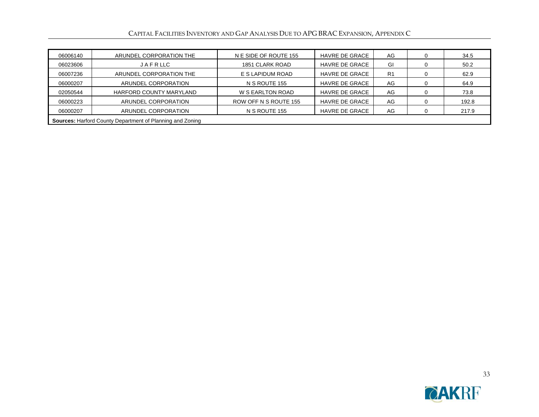| 06006140                                                         | ARUNDEL CORPORATION THE | N E SIDE OF ROUTE 155 | HAVRE DE GRACE | AG             | 0 | 34.5  |
|------------------------------------------------------------------|-------------------------|-----------------------|----------------|----------------|---|-------|
| 06023606                                                         | JAFRLLC                 | 1851 CLARK ROAD       | HAVRE DE GRACE | GI             |   | 50.2  |
| 06007236                                                         | ARUNDEL CORPORATION THE | E S LAPIDUM ROAD      | HAVRE DE GRACE | R <sub>1</sub> | 0 | 62.9  |
| 06000207                                                         | ARUNDEL CORPORATION     | N S ROUTE 155         | HAVRE DE GRACE | AG             | 0 | 64.9  |
| 02050544                                                         | HARFORD COUNTY MARYLAND | W S EARLTON ROAD      | HAVRE DE GRACE | AG             | 0 | 73.8  |
| 06000223                                                         | ARUNDEL CORPORATION     | ROW OFF N S ROUTE 155 | HAVRE DE GRACE | AG             | 0 | 192.8 |
| 06000207                                                         | ARUNDEL CORPORATION     | N S ROUTE 155         | HAVRE DE GRACE | AG             |   | 217.9 |
| <b>Sources: Harford County Department of Planning and Zoning</b> |                         |                       |                |                |   |       |

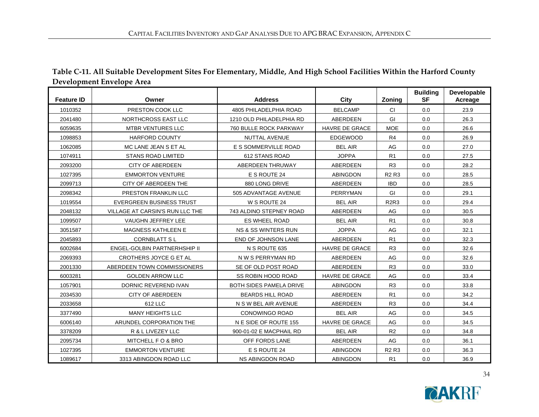| Table C-11. All Suitable Development Sites For Elementary, Middle, And High School Facilities Within the Harford County |  |
|-------------------------------------------------------------------------------------------------------------------------|--|
| Development Envelope Area                                                                                               |  |

| <b>Feature ID</b> | Owner                           | <b>Address</b>                 | City                  | Zoning                        | <b>Building</b><br><b>SF</b> | Developable<br>Acreage |
|-------------------|---------------------------------|--------------------------------|-----------------------|-------------------------------|------------------------------|------------------------|
| 1010352           | PRESTON COOK LLC                | 4805 PHILADELPHIA ROAD         | <b>BELCAMP</b>        | <b>CI</b>                     | 0.0                          | 23.9                   |
| 2041480           | NORTHCROSS EAST LLC             | 1210 OLD PHILADELPHIA RD       | ABERDEEN              | GI                            | 0.0                          | 26.3                   |
| 6059635           | <b>MTBR VENTURES LLC</b>        | 760 BULLE ROCK PARKWAY         | <b>HAVRE DE GRACE</b> | <b>MOE</b>                    | 0.0                          | 26.6                   |
| 1098853           | <b>HARFORD COUNTY</b>           | <b>NUTTAL AVENUE</b>           | <b>EDGEWOOD</b>       | R4                            | 0.0                          | 26.9                   |
| 1062085           | MC LANE JEAN S ET AL            | E S SOMMERVILLE ROAD           | <b>BEL AIR</b>        | AG                            | 0.0                          | 27.0                   |
| 1074911           | <b>STANS ROAD LIMITED</b>       | 612 STANS ROAD                 | <b>JOPPA</b>          | R <sub>1</sub>                | 0.0                          | 27.5                   |
| 2093200           | <b>CITY OF ABERDEEN</b>         | ABERDEEN THRUWAY               | ABERDEEN              | R <sub>3</sub>                | 0.0                          | 28.2                   |
| 1027395           | <b>EMMORTON VENTURE</b>         | E S ROUTE 24                   | <b>ABINGDON</b>       | <b>R2 R3</b>                  | 0.0                          | 28.5                   |
| 2099713           | CITY OF ABERDEEN THE            | 880 LONG DRIVE                 | <b>ABERDEEN</b>       | <b>IBD</b>                    | 0.0                          | 28.5                   |
| 2098342           | <b>PRESTON FRANKLIN LLC</b>     | 505 ADVANTAGE AVENUE           | <b>PERRYMAN</b>       | GI                            | 0.0                          | 29.1                   |
| 1019554           | <b>EVERGREEN BUSINESS TRUST</b> | W S ROUTE 24                   | <b>BEL AIR</b>        | R <sub>2</sub> R <sub>3</sub> | 0.0                          | 29.4                   |
| 2048132           | VILLAGE AT CARSIN'S RUN LLC THE | 743 ALDINO STEPNEY ROAD        | <b>ABERDEEN</b>       | AG                            | 0.0                          | 30.5                   |
| 1099507           | VAUGHN JEFFREY LEE              | <b>ES WHEEL ROAD</b>           | <b>BEL AIR</b>        | R <sub>1</sub>                | 0.0                          | 30.8                   |
| 3051587           | <b>MAGNESS KATHLEEN E</b>       | NS & SS WINTERS RUN            | <b>JOPPA</b>          | AG                            | 0.0                          | 32.1                   |
| 2045893           | <b>CORNBLATT SL</b>             | <b>END OF JOHNSON LANE</b>     | ABERDEEN              | R <sub>1</sub>                | 0.0                          | 32.3                   |
| 6002684           | ENGEL-GOLBIN PARTNERHSHIP II    | N S ROUTE 635                  | HAVRE DE GRACE        | R <sub>3</sub>                | 0.0                          | 32.6                   |
| 2069393           | CROTHERS JOYCE G ET AL          | N W S PERRYMAN RD              | ABERDEEN              | AG                            | 0.0                          | 32.6                   |
| 2001330           | ABERDEEN TOWN COMMISSIONERS     | SE OF OLD POST ROAD            | <b>ABERDEEN</b>       | R <sub>3</sub>                | 0.0                          | 33.0                   |
| 6003281           | <b>GOLDEN ARROW LLC</b>         | <b>SS ROBIN HOOD ROAD</b>      | HAVRE DE GRACE        | AG                            | 0.0                          | 33.4                   |
| 1057901           | DORNIC REVEREND IVAN            | <b>BOTH SIDES PAMELA DRIVE</b> | <b>ABINGDON</b>       | R <sub>3</sub>                | 0.0                          | 33.8                   |
| 2034530           | <b>CITY OF ABERDEEN</b>         | <b>BEARDS HILL ROAD</b>        | <b>ABERDEEN</b>       | R <sub>1</sub>                | 0.0                          | 34.2                   |
| 2033658           | 612 LLC                         | N S W BEL AIR AVENUE           | <b>ABERDEEN</b>       | R <sub>3</sub>                | 0.0                          | 34.4                   |
| 3377490           | <b>MANY HEIGHTS LLC</b>         | <b>CONOWINGO ROAD</b>          | <b>BEL AIR</b>        | AG                            | 0.0                          | 34.5                   |
| 6006140           | ARUNDEL CORPORATION THE         | N E SIDE OF ROUTE 155          | <b>HAVRE DE GRACE</b> | AG                            | 0.0                          | 34.5                   |
| 3378209           | R & L LIVEZEY LLC               | 900-01-02 E MACPHAIL RD        | <b>BEL AIR</b>        | R <sub>2</sub>                | 0.0                          | 34.8                   |
| 2095734           | MITCHELL F O & BRO              | OFF FORDS LANE                 | <b>ABERDEEN</b>       | AG                            | 0.0                          | 36.1                   |
| 1027395           | <b>EMMORTON VENTURE</b>         | E S ROUTE 24                   | <b>ABINGDON</b>       | <b>R2 R3</b>                  | 0.0                          | 36.3                   |
| 1089617           | 3313 ABINGDON ROAD LLC          | <b>NS ABINGDON ROAD</b>        | <b>ABINGDON</b>       | R <sub>1</sub>                | 0.0                          | 36.9                   |